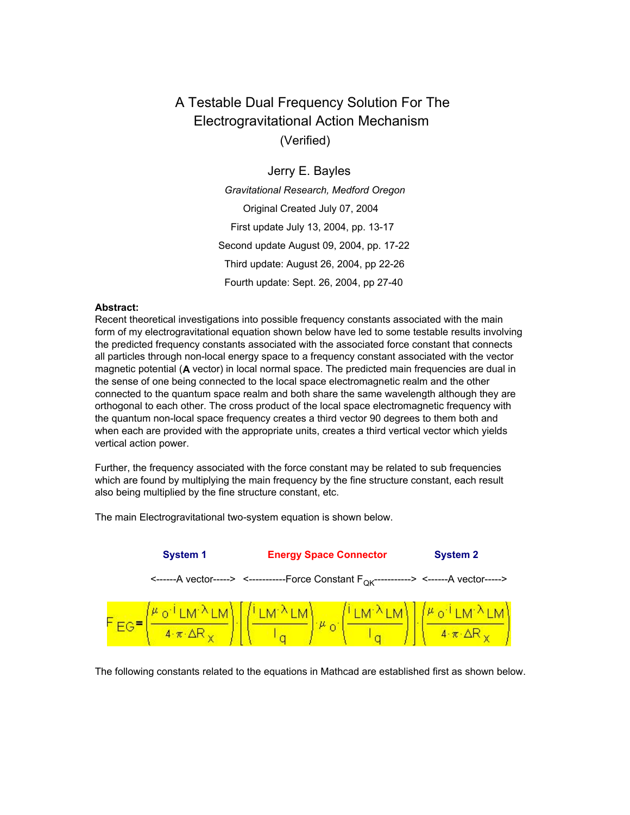# (Verified) Electrogravitational Action Mechanism A Testable Dual Frequency Solution For The

# Jerry E. Bayles

Fourth update: Sept. 26, 2004, pp 27-40 Third update: August 26, 2004, pp 22-26 Second update August 09, 2004, pp. 17-22 First update July 13, 2004, pp. 13-17 Original Created July 07, 2004 *Gravitational Research, Medford Oregon*

### **Abstract:**

Recent theoretical investigations into possible frequency constants associated with the main form of my electrogravitational equation shown below have led to some testable results involving the predicted frequency constants associated with the associated force constant that connects all particles through non-local energy space to a frequency constant associated with the vector magnetic potential (**A** vector) in local normal space. The predicted main frequencies are dual in the sense of one being connected to the local space electromagnetic realm and the other connected to the quantum space realm and both share the same wavelength although they are orthogonal to each other. The cross product of the local space electromagnetic frequency with the quantum non-local space frequency creates a third vector 90 degrees to them both and when each are provided with the appropriate units, creates a third vertical vector which yields vertical action power.

Further, the frequency associated with the force constant may be related to sub frequencies which are found by multiplying the main frequency by the fine structure constant, each result also being multiplied by the fine structure constant, etc.

**System 1 Energy Space Connector System 2** <-------A vector-----> <------------Force Constant F<sub>OK</sub>------------> <------A vector----->  $\frac{\text{LM}^{\lambda} \text{LM}}{\pi \cdot \Delta R_{\infty}} \left[ \left( \frac{i \text{LM}^{\lambda} \text{LM}}{I_{\alpha}} \right) \mu_{0} \cdot \left( \frac{i \text{LM}^{\lambda} \text{LM}}{I_{\alpha}} \right) \right] \cdot \left( \frac{\mu_{0} i \text{LM}^{\lambda} \text{LM}}{4 \cdot \pi \cdot \Delta R_{\infty}} \right)$ 

The main Electrogravitational two-system equation is shown below.

The following constants related to the equations in Mathcad are established first as shown below.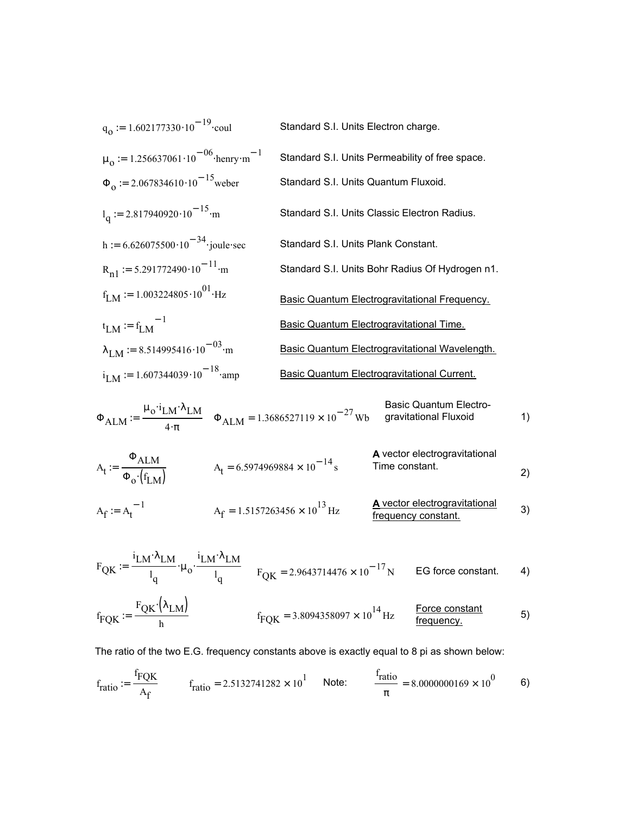$$
q_0 := 1.602177330 \cdot 10^{-19} \cdot \text{coul}
$$
\nStandard S.I. Units Electron charge.  
\n
$$
\mu_0 := 1.256637061 \cdot 10^{-06} \cdot \text{henry} \cdot \text{m}^{-1}
$$
\nStandard S.I. Units Permeability of free space.  
\n
$$
\Phi_0 := 2.067834610 \cdot 10^{-15} \cdot \text{weber}
$$
\nStandard S.I. Units Quantum Fluxoid.  
\n
$$
l_q := 2.817940920 \cdot 10^{-15} \cdot \text{m}
$$
\nStandard S.I. Units Classic Electron Radius.  
\n
$$
h := 6.626075500 \cdot 10^{-34} \cdot \text{joule-sec}
$$
\nStandard S.I. Units Plank Constant.  
\n
$$
R_{n1} := 5.291772490 \cdot 10^{-11} \cdot \text{m}
$$
\nStandard S.I. Units Bohr Radius Of Hydrogen n1.  
\n
$$
f_{LM} := f_{LM}^{-1}
$$
\nBasic Quantum Electrogravitational Frequency.  
\n
$$
\lambda_{LM} := f_{LM}^{-1}
$$
\nBasic Quantum Electrogravitational Time.  
\n
$$
\lambda_{LM} := 1.607344039 \cdot 10^{-03} \cdot \text{m}
$$
\nBasic Quantum Electrogravitational Wavelength.  
\n
$$
i_{LM} := 1.607344039 \cdot 10^{-18} \cdot \text{amp}
$$
\nBasic Quantum Electrogravitational Current.

$$
\Phi_{\text{ALM}} \coloneqq \frac{\mu_0 \cdot i_{\text{LM}} \cdot \lambda_{\text{LM}}}{4 \cdot \pi} \quad \Phi_{\text{ALM}} = 1.3686527119 \times 10^{-27} \text{Wb} \quad \text{gravitational Fluxoid} \tag{1}
$$

$$
A_{t} = \frac{\Phi_{ALM}}{\Phi_{o} \cdot (f_{LM})}
$$
\n
$$
A_{t} = 6.5974969884 \times 10^{-14} \text{ s}
$$
\n
$$
A_{t} = 6.5974969884 \times 10^{-14} \text{ s}
$$
\n
$$
A_{t} = 6.5974969884 \times 10^{-14} \text{ s}
$$
\n
$$
A_{t} = 6.5974969884 \times 10^{-14} \text{ s}
$$
\n
$$
A_{t} = 6.5974969884 \times 10^{-14} \text{ s}
$$
\n
$$
A_{t} = 6.5974969884 \times 10^{-14} \text{ s}
$$
\n
$$
A_{t} = 6.5974969884 \times 10^{-14} \text{ s}
$$
\n
$$
A_{t} = 6.5974969884 \times 10^{-14} \text{ s}
$$
\n
$$
A_{t} = 6.5974969884 \times 10^{-14} \text{ s}
$$
\n
$$
A_{t} = 6.5974969884 \times 10^{-14} \text{ s}
$$

$$
A_f := A_t^{-1}
$$
 
$$
A_f = 1.5157263456 \times 10^{13} Hz
$$
 A vector electrogravitational  
frequency constant.

$$
F_{\text{QK}} := \frac{i_{\text{LM}} \lambda_{\text{LM}}}{l_q} \cdot \mu_o \cdot \frac{i_{\text{LM}} \lambda_{\text{LM}}}{l_q} \qquad F_{\text{QK}} = 2.9643714476 \times 10^{-17} \text{N} \qquad \text{EG force constant.} \tag{4}
$$

$$
f_{\text{FQK}} := \frac{F_{\text{QK}} \cdot (\lambda_{\text{LM}})}{h} \qquad \qquad f_{\text{FQK}} = 3.8094358097 \times 10^{14} \,\text{Hz} \qquad \frac{\text{Force constant}}{\text{frequency}} \qquad \qquad 5)
$$

The ratio of the two E.G. frequency constants above is exactly equal to 8 pi as shown below:

$$
f_{\text{ratio}} := \frac{f_{\text{FQK}}}{A_{\text{f}}} \qquad f_{\text{ratio}} = 2.5132741282 \times 10^1 \qquad \text{Note:} \qquad \frac{f_{\text{ratio}}}{\pi} = 8.0000000169 \times 10^0 \qquad 6)
$$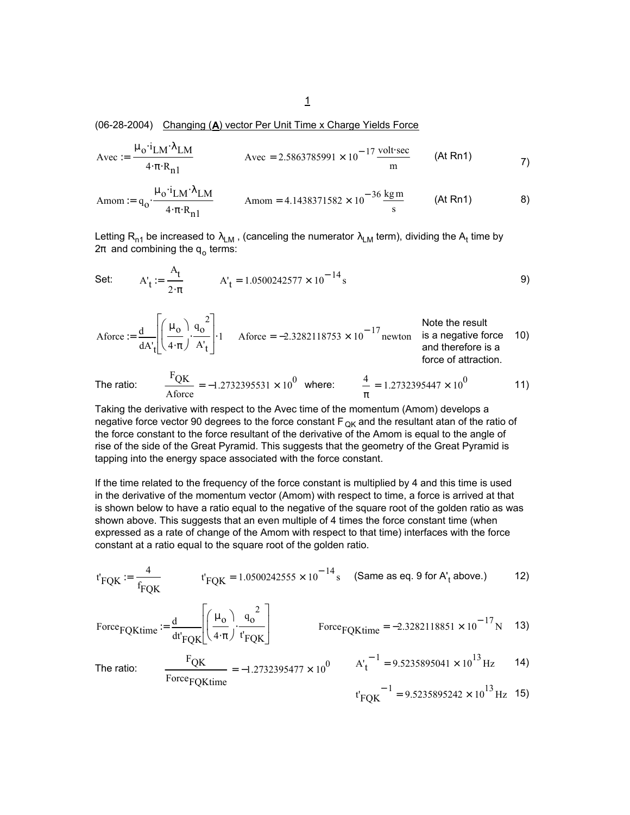(06-28-2004) Changing (**A**) vector Per Unit Time x Charge Yields Force

$$
Avec := \frac{\mu_0 \cdot i_{LM} \cdot \lambda_{LM}}{4 \cdot \pi \cdot R_{n1}} \qquad \qquad Avec = 2.5863785991 \times 10^{-17} \frac{\text{volt} \cdot \text{sec}}{m} \qquad \text{(At Rn1)}
$$

$$
Amount := q_0 \cdot \frac{\mu_0 \cdot i_{LM} \cdot \lambda_{LM}}{4 \cdot \pi \cdot R_{n1}} \qquad \text{Amount} = 4.1438371582 \times 10^{-36} \frac{\text{kg m}}{\text{s}} \qquad \text{(At Rn1)} \qquad \qquad 8\text{)}
$$

Letting R<sub>n1</sub> be increased to  $\lambda_{\sf LM}$  , (canceling the numerator  $\lambda_{\sf LM}$  term), dividing the A<sub>t</sub> time by  $2\pi$  and combining the q<sub>o</sub> terms:

Set: 
$$
A'_t := \frac{A_t}{2 \cdot \pi}
$$
  $A'_t = 1.0500242577 \times 10^{-14} s$  (9)

\n
$$
\text{Aforce} := \frac{d}{dA'_{t}} \left[ \left( \frac{\mu_{0}}{4 \cdot \pi} \right) \cdot \frac{q_{0}^{2}}{A'_{t}} \right] \cdot 1
$$
\n

\n\n
$$
\text{Aforce} = -2.3282118753 \times 10^{-17} \text{ newton}
$$
\n

\n\n
$$
\text{Note the result}
$$
\n

\n\n
$$
\text{Note the result}
$$
\n

\n\n
$$
\text{is a negative force}
$$
\n

\n\n
$$
\text{10}
$$
\n

\n\n
$$
\text{and therefore is a force of a}
$$
\n

The ratio: 
$$
\frac{F_{\text{QK}}}{\text{Aforce}} = -1.2732395531 \times 10^0 \text{ where: } \frac{4}{\pi} = 1.2732395447 \times 10^0
$$
 11)

Taking the derivative with respect to the Avec time of the momentum (Amom) develops a negative force vector 90 degrees to the force constant  $F_{OK}$  and the resultant atan of the ratio of the force constant to the force resultant of the derivative of the Amom is equal to the angle of rise of the side of the Great Pyramid. This suggests that the geometry of the Great Pyramid is tapping into the energy space associated with the force constant.

If the time related to the frequency of the force constant is multiplied by 4 and this time is used in the derivative of the momentum vector (Amom) with respect to time, a force is arrived at that is shown below to have a ratio equal to the negative of the square root of the golden ratio as was shown above. This suggests that an even multiple of 4 times the force constant time (when expressed as a rate of change of the Amom with respect to that time) interfaces with the force constant at a ratio equal to the square root of the golden ratio.

$$
t'_{\text{FQK}} := \frac{4}{f_{\text{FQK}}}
$$
  $t'_{\text{FQK}} = 1.0500242555 \times 10^{-14} \text{ s}$  (Same as eq. 9 for A'<sub>t</sub> above.) (12)

\n
$$
\text{Force}_{\text{FQKtime}} := \frac{d}{dt'_{\text{FQK}}} \left[ \left( \frac{\mu_0}{4 \cdot \pi} \right) \cdot \frac{q_0^2}{t'_{\text{FQK}}} \right]
$$
\n

\n\n
$$
\text{Force}_{\text{FQKtime}} = -2.3282118851 \times 10^{-17} \, \text{N} \quad 13
$$
\n

The ratio: 
$$
\frac{F_{\text{QK}}}{F_{\text{0}}F_{\text{QKtime}}} = -1.2732395477 \times 10^0
$$
  $A'_t^{-1} = 9.5235895041 \times 10^{13} \text{ Hz}$  14)

$$
t'_{\text{FQK}}^{-1} = 9.5235895242 \times 10^{13} \text{ Hz}
$$
 15)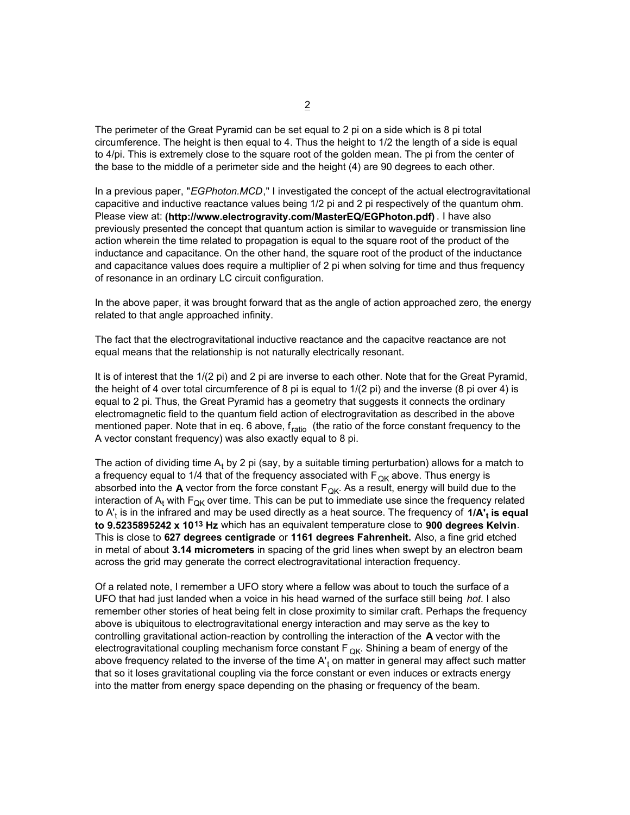The perimeter of the Great Pyramid can be set equal to 2 pi on a side which is 8 pi total circumference. The height is then equal to 4. Thus the height to 1/2 the length of a side is equal to 4/pi. This is extremely close to the square root of the golden mean. The pi from the center of the base to the middle of a perimeter side and the height (4) are 90 degrees to each other.

In a previous paper, "*EGPhoton.MCD*," I investigated the concept of the actual electrogravitational capacitive and inductive reactance values being 1/2 pi and 2 pi respectively of the quantum ohm. Please view at: **(http://www.electrogravity.com/MasterEQ/EGPhoton.pdf)** . I have also previously presented the concept that quantum action is similar to waveguide or transmission line action wherein the time related to propagation is equal to the square root of the product of the inductance and capacitance. On the other hand, the square root of the product of the inductance and capacitance values does require a multiplier of 2 pi when solving for time and thus frequency of resonance in an ordinary LC circuit configuration.

In the above paper, it was brought forward that as the angle of action approached zero, the energy related to that angle approached infinity.

The fact that the electrogravitational inductive reactance and the capacitve reactance are not equal means that the relationship is not naturally electrically resonant.

It is of interest that the 1/(2 pi) and 2 pi are inverse to each other. Note that for the Great Pyramid, the height of 4 over total circumference of 8 pi is equal to 1/(2 pi) and the inverse (8 pi over 4) is equal to 2 pi. Thus, the Great Pyramid has a geometry that suggests it connects the ordinary electromagnetic field to the quantum field action of electrogravitation as described in the above mentioned paper. Note that in eq. 6 above,  $f_{ratio}$  (the ratio of the force constant frequency to the A vector constant frequency) was also exactly equal to 8 pi.

The action of dividing time A<sub>t</sub> by 2 pi (say, by a suitable timing perturbation) allows for a match to a frequency equal to 1/4 that of the frequency associated with  $F_{QK}$  above. Thus energy is absorbed into the **A** vector from the force constant  $F_{QK}$ . As a result, energy will build due to the interaction of  $A_t$  with  $F_{\text{QK}}$  over time. This can be put to immediate use since the frequency related to A'<sub>t</sub> is in the infrared and may be used directly as a heat source. The frequency of **1/A'<sub>t</sub> is equal to 9.5235895242 x 1013 Hz** which has an equivalent temperature close to **900 degrees Kelvin**. This is close to **627 degrees centigrade** or **1161 degrees Fahrenheit.** Also, a fine grid etched in metal of about **3.14 micrometers** in spacing of the grid lines when swept by an electron beam across the grid may generate the correct electrogravitational interaction frequency.

Of a related note, I remember a UFO story where a fellow was about to touch the surface of a UFO that had just landed when a voice in his head warned of the surface still being *hot*. I also remember other stories of heat being felt in close proximity to similar craft. Perhaps the frequency above is ubiquitous to electrogravitational energy interaction and may serve as the key to controlling gravitational action-reaction by controlling the interaction of the **A** vector with the electrogravitational coupling mechanism force constant  $F_{OK}$ . Shining a beam of energy of the above frequency related to the inverse of the time A'<sub>t</sub> on matter in general may affect such matter that so it loses gravitational coupling via the force constant or even induces or extracts energy into the matter from energy space depending on the phasing or frequency of the beam.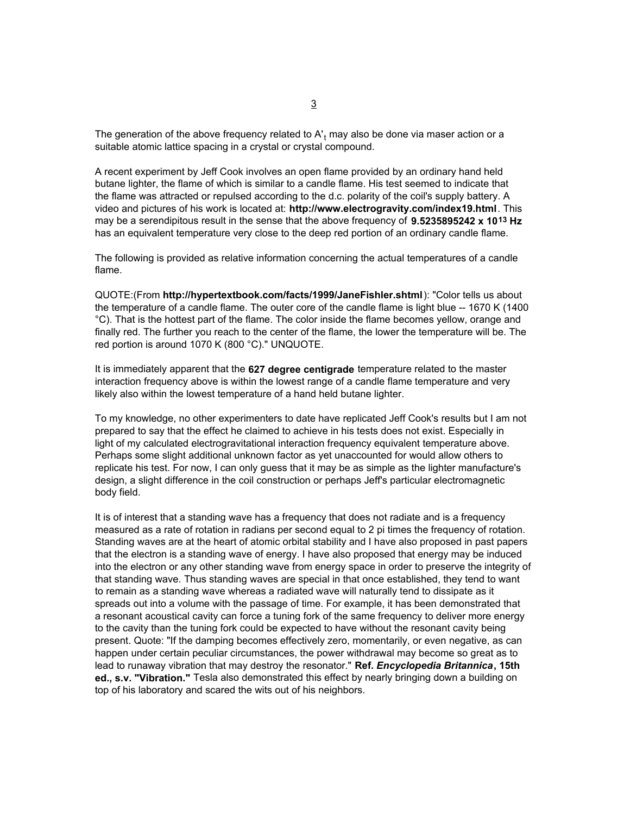The generation of the above frequency related to A'<sub>t</sub> may also be done via maser action or a suitable atomic lattice spacing in a crystal or crystal compound.

A recent experiment by Jeff Cook involves an open flame provided by an ordinary hand held butane lighter, the flame of which is similar to a candle flame. His test seemed to indicate that the flame was attracted or repulsed according to the d.c. polarity of the coil's supply battery. A video and pictures of his work is located at: **http://www.electrogravity.com/index19.html**. This may be a serendipitous result in the sense that the above frequency of **9.5235895242 x 1013 Hz**  has an equivalent temperature very close to the deep red portion of an ordinary candle flame.

The following is provided as relative information concerning the actual temperatures of a candle flame.

QUOTE:(From **http://hypertextbook.com/facts/1999/JaneFishler.shtml**): "Color tells us about the temperature of a candle flame. The outer core of the candle flame is light blue -- 1670 K (1400 °C). That is the hottest part of the flame. The color inside the flame becomes yellow, orange and finally red. The further you reach to the center of the flame, the lower the temperature will be. The red portion is around 1070 K (800 °C)." UNQUOTE.

It is immediately apparent that the **627 degree centigrade** temperature related to the master interaction frequency above is within the lowest range of a candle flame temperature and very likely also within the lowest temperature of a hand held butane lighter.

To my knowledge, no other experimenters to date have replicated Jeff Cook's results but I am not prepared to say that the effect he claimed to achieve in his tests does not exist. Especially in light of my calculated electrogravitational interaction frequency equivalent temperature above. Perhaps some slight additional unknown factor as yet unaccounted for would allow others to replicate his test. For now, I can only guess that it may be as simple as the lighter manufacture's design, a slight difference in the coil construction or perhaps Jeff's particular electromagnetic body field.

It is of interest that a standing wave has a frequency that does not radiate and is a frequency measured as a rate of rotation in radians per second equal to 2 pi times the frequency of rotation. Standing waves are at the heart of atomic orbital stability and I have also proposed in past papers that the electron is a standing wave of energy. I have also proposed that energy may be induced into the electron or any other standing wave from energy space in order to preserve the integrity of that standing wave. Thus standing waves are special in that once established, they tend to want to remain as a standing wave whereas a radiated wave will naturally tend to dissipate as it spreads out into a volume with the passage of time. For example, it has been demonstrated that a resonant acoustical cavity can force a tuning fork of the same frequency to deliver more energy to the cavity than the tuning fork could be expected to have without the resonant cavity being present. Quote: "If the damping becomes effectively zero, momentarily, or even negative, as can happen under certain peculiar circumstances, the power withdrawal may become so great as to lead to runaway vibration that may destroy the resonator." **Ref.** *Encyclopedia Britannica***, 15th ed., s.v. "Vibration."** Tesla also demonstrated this effect by nearly bringing down a building on top of his laboratory and scared the wits out of his neighbors.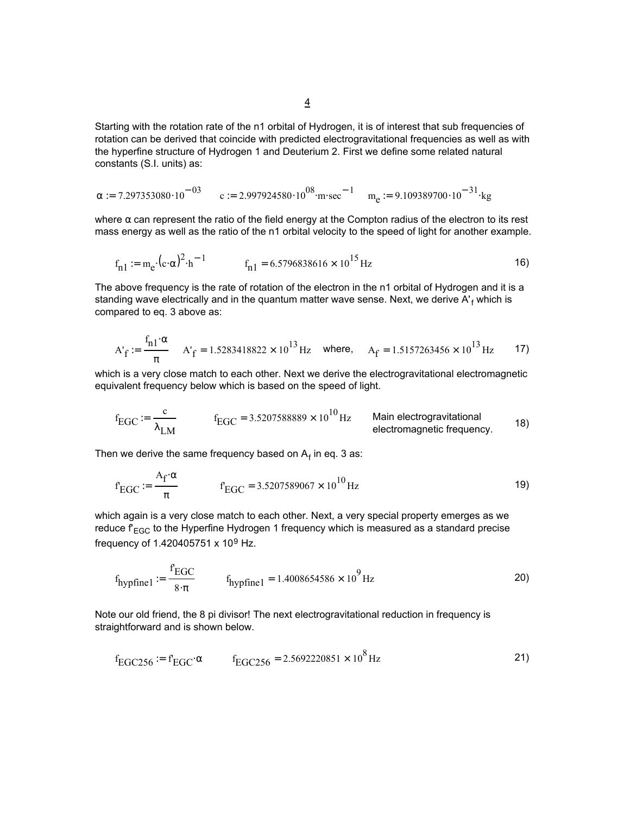Starting with the rotation rate of the n1 orbital of Hydrogen, it is of interest that sub frequencies of rotation can be derived that coincide with predicted electrogravitational frequencies as well as with the hyperfine structure of Hydrogen 1 and Deuterium 2. First we define some related natural constants (S.I. units) as:

$$
\alpha := 7.297353080 \cdot 10^{-03} \qquad c := 2.997924580 \cdot 10^{08} \cdot m \cdot sec^{-1} \qquad m_e := 9.109389700 \cdot 10^{-31} \cdot kg
$$

where  $\alpha$  can represent the ratio of the field energy at the Compton radius of the electron to its rest mass energy as well as the ratio of the n1 orbital velocity to the speed of light for another example.

$$
f_{n1} := m_e \cdot (c \cdot \alpha)^2 \cdot h^{-1}
$$
 
$$
f_{n1} = 6.5796838616 \times 10^{15} Hz
$$
 (16)

The above frequency is the rate of rotation of the electron in the n1 orbital of Hydrogen and it is a standing wave electrically and in the quantum matter wave sense. Next, we derive A'<sub>f</sub> which is compared to eq. 3 above as:

$$
A'_{f} := \frac{f_{n1} \cdot \alpha}{\pi} \quad A'_{f} = 1.5283418822 \times 10^{13} \,\text{Hz} \quad \text{where,} \quad A_{f} = 1.5157263456 \times 10^{13} \,\text{Hz} \tag{17}
$$

which is a very close match to each other. Next we derive the electrogravitational electromagnetic equivalent frequency below which is based on the speed of light.

$$
f_{\text{EGC}} \coloneqq \frac{c}{\lambda_{\text{LM}}}
$$
  $f_{\text{EGC}} = 3.5207588889 \times 10^{10} \text{ Hz}$  Main electrogravitational  
electromagnetic frequency.

Then we derive the same frequency based on  $\mathsf{A}_\mathsf{f}$  in eq. 3 as:

$$
f_{EGC} := \frac{A_f \cdot \alpha}{\pi} \qquad f_{EGC} = 3.5207589067 \times 10^{10} \text{ Hz}
$$
 (19)

which again is a very close match to each other. Next, a very special property emerges as we reduce  $f_{EGC}$  to the Hyperfine Hydrogen 1 frequency which is measured as a standard precise frequency of 1.420405751 x 109 Hz.

$$
f_{\text{hypfine1}} := \frac{f_{\text{EGC}}}{8 \cdot \pi} \qquad f_{\text{hypfine1}} = 1.4008654586 \times 10^9 \,\text{Hz}
$$

Note our old friend, the 8 pi divisor! The next electrogravitational reduction in frequency is straightforward and is shown below.

$$
f_{EGC256} := f_{EGC} \alpha \qquad f_{EGC256} = 2.5692220851 \times 10^8 \,\text{Hz}
$$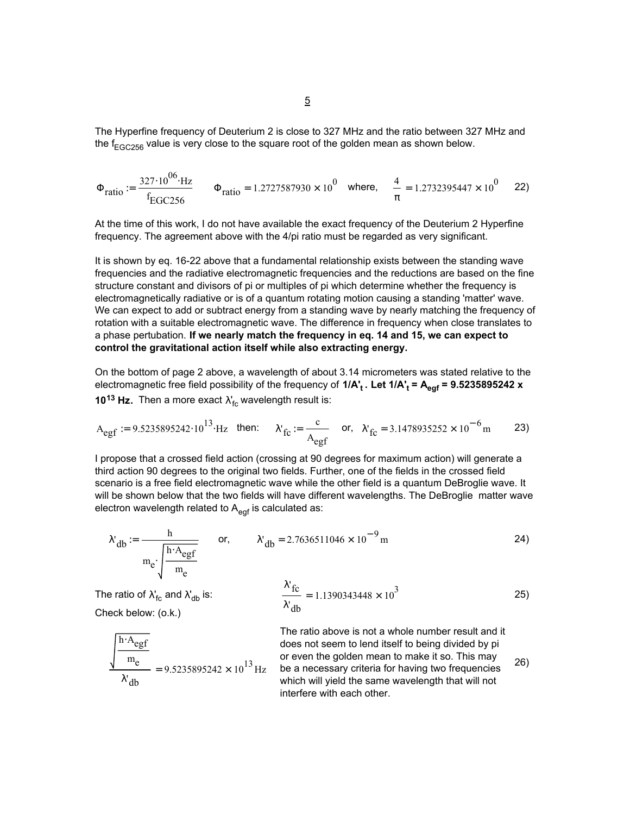The Hyperfine frequency of Deuterium 2 is close to 327 MHz and the ratio between 327 MHz and the  $f_{EGC256}$  value is very close to the square root of the golden mean as shown below.

$$
\Phi_{\text{ratio}} := \frac{327 \cdot 10^{06} \cdot \text{Hz}}{f_{\text{EGC256}}} \qquad \Phi_{\text{ratio}} = 1.2727587930 \times 10^0 \quad \text{where,} \qquad \frac{4}{\pi} = 1.2732395447 \times 10^0 \qquad \text{22}
$$

At the time of this work, I do not have available the exact frequency of the Deuterium 2 Hyperfine frequency. The agreement above with the 4/pi ratio must be regarded as very significant.

It is shown by eq. 16-22 above that a fundamental relationship exists between the standing wave frequencies and the radiative electromagnetic frequencies and the reductions are based on the fine structure constant and divisors of pi or multiples of pi which determine whether the frequency is electromagnetically radiative or is of a quantum rotating motion causing a standing 'matter' wave. We can expect to add or subtract energy from a standing wave by nearly matching the frequency of rotation with a suitable electromagnetic wave. The difference in frequency when close translates to a phase pertubation. **If we nearly match the frequency in eq. 14 and 15, we can expect to control the gravitational action itself while also extracting energy.**

On the bottom of page 2 above, a wavelength of about 3.14 micrometers was stated relative to the electromagnetic free field possibility of the frequency of **1/A't . Let 1/A't = Aegf = 9.5235895242 x 10<sup>13</sup> Hz.** Then a more exact  $\lambda_{\text{fc}}^{\prime}$  wavelength result is:

$$
A_{\text{egf}} := 9.5235895242 \cdot 10^{13} \cdot \text{Hz} \quad \text{then:} \qquad \lambda_{\text{fc}} := \frac{c}{A_{\text{egf}}} \qquad \text{or,} \quad \lambda_{\text{fc}} = 3.1478935252 \times 10^{-6} \text{m} \tag{23}
$$

I propose that a crossed field action (crossing at 90 degrees for maximum action) will generate a third action 90 degrees to the original two fields. Further, one of the fields in the crossed field scenario is a free field electromagnetic wave while the other field is a quantum DeBroglie wave. It will be shown below that the two fields will have different wavelengths. The DeBroglie matter wave electron wavelength related to  $A_{\text{eqf}}$  is calculated as:

$$
\lambda_{db} := \frac{h}{m_e \sqrt{\frac{h \cdot A_{egf}}{m_e}}}
$$
 or, 
$$
\lambda_{db} = 2.7636511046 \times 10^{-9} m
$$
 (24)

Check below: (o.k.)

The ratio of 
$$
\lambda_{\text{fc}}^{\text{t}}
$$
 and  $\lambda_{\text{db}}^{\text{t}}$  is:  $\frac{\lambda_{\text{fc}}^{\text{t}}}{\lambda_{\text{db}}^{\text{t}}} = 1.1390343448 \times 10^3$  (25)

$$
\frac{\sqrt{\frac{h \cdot A_{egf}}{m_e}}}{\lambda_{db}'} = 9.5235895242 \times 10^{13} Hz
$$

 $= 9.5235895242 \times 10^{13}$  Hz be a necessary criteria for having two frequencies 26) The ratio above is not a whole number result and it does not seem to lend itself to being divided by pi or even the golden mean to make it so. This may which will yield the same wavelength that will not interfere with each other.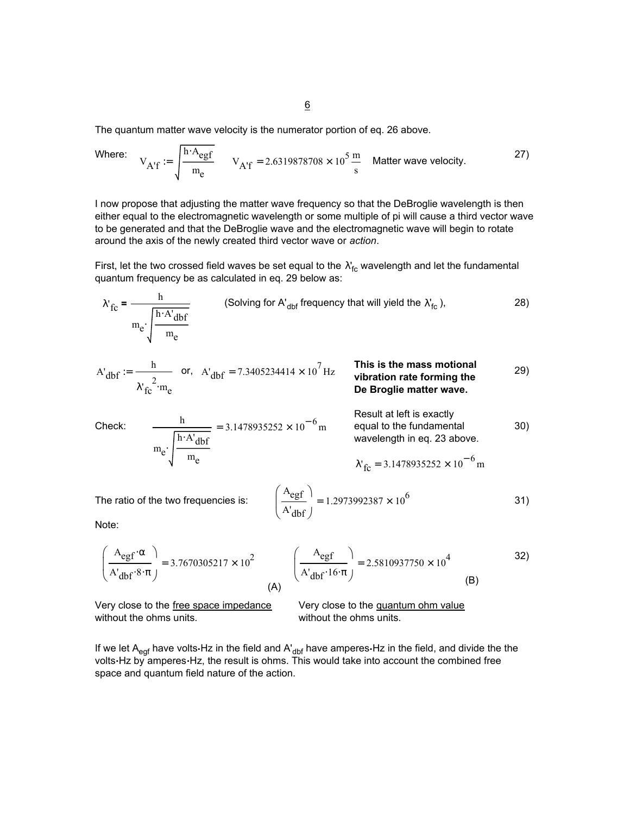The quantum matter wave velocity is the numerator portion of eq. 26 above.

Where: 
$$
V_{A'f} := \sqrt{\frac{h \cdot A_{egf}}{m_e}}
$$
  $V_{A'f} = 2.6319878708 \times 10^5 \frac{m}{s}$  Matter wave velocity.

I now propose that adjusting the matter wave frequency so that the DeBroglie wavelength is then either equal to the electromagnetic wavelength or some multiple of pi will cause a third vector wave to be generated and that the DeBroglie wave and the electromagnetic wave will begin to rotate around the axis of the newly created third vector wave or *action*.

First, let the two crossed field waves be set equal to the  $\lambda'_{\rm fc}$  wavelength and let the fundamental quantum frequency be as calculated in eq. 29 below as:

$$
\lambda'_{\text{fc}} = \frac{h}{m_e \sqrt{\frac{h \cdot A'_{\text{dbf}}}{m_e}}}
$$
 (Solving for A'<sub>dbf</sub> frequency that will yield the  $\lambda'_{\text{fc}}$ ), (28)

$$
A'_{dbf} := \frac{h}{\lambda'_{fc}^2 \cdot m_e} \quad \text{or,} \quad A'_{dbf} = 7.3405234414 \times 10^7 \text{ Hz} \quad \text{This is the mass motional vibration rate forming the De Broglie matter wave.}
$$

Check: 
$$
\frac{h}{m_e \sqrt{\frac{h \cdot A' dbf}{m_e}}}} = 3.1478935252 \times 10^{-6} m
$$
 Result at left is exactly  
equal to the fundamental  
wavelength in eq. 23 above.  

$$
\lambda'_{fc} = 3.1478935252 \times 10^{-6} m
$$

The ratio of the two frequencies is: 
$$
\left(\frac{A_{\text{egf}}}{A'_{\text{dbf}}}\right) = 1.2973992387 \times 10^6
$$
 31)

Note:

$$
\left(\frac{A_{\text{egf}} \cdot \alpha}{A'_{\text{dbf}} \cdot 8 \cdot \pi}\right) = 3.7670305217 \times 10^2 \qquad \left(\frac{A_{\text{egf}}}{A'_{\text{dbf}} \cdot 16 \cdot \pi}\right) = 2.5810937750 \times 10^4 \qquad (B)
$$

Very close to the free space impedance without the ohms units.

Very close to the quantum ohm value without the ohms units.

If we let A<sub>egf</sub> have volts $\cdot$ Hz in the field and A'<sub>dbf</sub> have amperes $\cdot$ Hz in the field, and divide the the volts**.**Hz by amperes**.**Hz, the result is ohms. This would take into account the combined free space and quantum field nature of the action.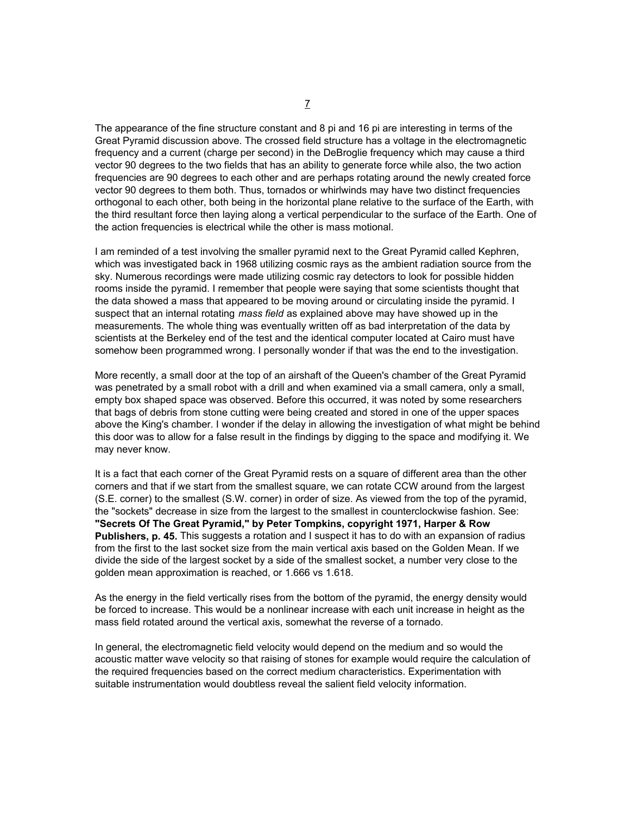The appearance of the fine structure constant and 8 pi and 16 pi are interesting in terms of the Great Pyramid discussion above. The crossed field structure has a voltage in the electromagnetic frequency and a current (charge per second) in the DeBroglie frequency which may cause a third vector 90 degrees to the two fields that has an ability to generate force while also, the two action frequencies are 90 degrees to each other and are perhaps rotating around the newly created force vector 90 degrees to them both. Thus, tornados or whirlwinds may have two distinct frequencies orthogonal to each other, both being in the horizontal plane relative to the surface of the Earth, with the third resultant force then laying along a vertical perpendicular to the surface of the Earth. One of the action frequencies is electrical while the other is mass motional.

I am reminded of a test involving the smaller pyramid next to the Great Pyramid called Kephren, which was investigated back in 1968 utilizing cosmic rays as the ambient radiation source from the sky. Numerous recordings were made utilizing cosmic ray detectors to look for possible hidden rooms inside the pyramid. I remember that people were saying that some scientists thought that the data showed a mass that appeared to be moving around or circulating inside the pyramid. I suspect that an internal rotating *mass field* as explained above may have showed up in the measurements. The whole thing was eventually written off as bad interpretation of the data by scientists at the Berkeley end of the test and the identical computer located at Cairo must have somehow been programmed wrong. I personally wonder if that was the end to the investigation.

More recently, a small door at the top of an airshaft of the Queen's chamber of the Great Pyramid was penetrated by a small robot with a drill and when examined via a small camera, only a small, empty box shaped space was observed. Before this occurred, it was noted by some researchers that bags of debris from stone cutting were being created and stored in one of the upper spaces above the King's chamber. I wonder if the delay in allowing the investigation of what might be behind this door was to allow for a false result in the findings by digging to the space and modifying it. We may never know.

It is a fact that each corner of the Great Pyramid rests on a square of different area than the other corners and that if we start from the smallest square, we can rotate CCW around from the largest (S.E. corner) to the smallest (S.W. corner) in order of size. As viewed from the top of the pyramid, the "sockets" decrease in size from the largest to the smallest in counterclockwise fashion. See: **"Secrets Of The Great Pyramid," by Peter Tompkins, copyright 1971, Harper & Row Publishers, p. 45.** This suggests a rotation and I suspect it has to do with an expansion of radius from the first to the last socket size from the main vertical axis based on the Golden Mean. If we divide the side of the largest socket by a side of the smallest socket, a number very close to the golden mean approximation is reached, or 1.666 vs 1.618.

As the energy in the field vertically rises from the bottom of the pyramid, the energy density would be forced to increase. This would be a nonlinear increase with each unit increase in height as the mass field rotated around the vertical axis, somewhat the reverse of a tornado.

In general, the electromagnetic field velocity would depend on the medium and so would the acoustic matter wave velocity so that raising of stones for example would require the calculation of the required frequencies based on the correct medium characteristics. Experimentation with suitable instrumentation would doubtless reveal the salient field velocity information.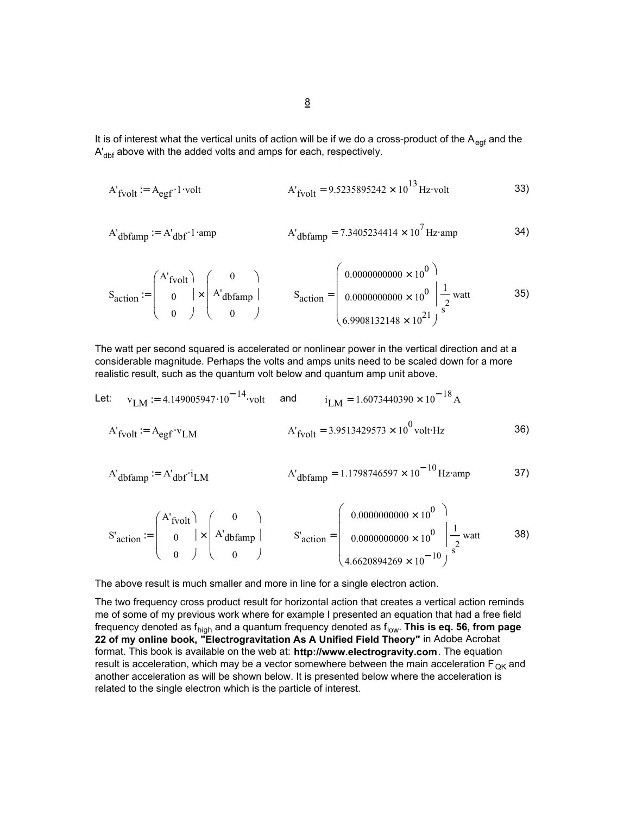It is of interest what the vertical units of action will be if we do a cross-product of the  $A_{\text{eqf}}$  and the  $A'_{\text{dbf}}$  above with the added volts and amps for each, respectively.

$$
A'_{\text{fvolt}} := A_{\text{egf}} \cdot 1 \cdot \text{volt}
$$
  $A'_{\text{fvolt}} = 9.5235895242 \times 10^{13} \text{ Hz} \cdot \text{volt}$  33)

$$
A'_{dbfamp} := A'_{dbf} \cdot 1 \cdot \text{amp} \qquad A'_{dbfamp} = 7.3405234414 \times 10^7 \text{ Hz} \cdot \text{amp} \qquad 34)
$$

$$
S_{action} := \begin{pmatrix} A'_{fvolt} \\ 0 \\ 0 \end{pmatrix} \times \begin{pmatrix} 0 \\ A'_{dbfamp} \end{pmatrix} \qquad S_{action} = \begin{pmatrix} 0.0000000000 \times 10^0 \\ 0.0000000000 \times 10^0 \\ 0.9008132148 \times 10^{21} \end{pmatrix} \text{ sat } 35)
$$

The watt per second squared is accelerated or nonlinear power in the vertical direction and at a considerable magnitude. Perhaps the volts and amps units need to be scaled down for a more realistic result, such as the quantum volt below and quantum amp unit above.

Let: 
$$
v_{LM} := 4.149005947 \cdot 10^{-14} \cdot \text{volt}
$$
 and  $i_{LM} = 1.6073440390 \times 10^{-18} \text{ A}$   
\n $A'_{fvolt} := A_{\text{egf}} \cdot v_{LM}$   $A'_{fvolt} = 3.9513429573 \times 10^{0} \text{ volt·Hz}$  36)

$$
A'_{\text{dbfamp}} = A'_{\text{dbf}} i_{\text{LM}}
$$
  $A'_{\text{dbfamp}} = 1.1798746597 \times 10^{-10} \text{Hz amp}$  37)

S' 38) action 0.0000000000 100 × 0.0000000000 100 × 4.6620894269 10<sup>−</sup> <sup>10</sup> × 1 s 2 S' = watt action A'fvolt 0 0 0 A'dbfamp 0 := ×

The above result is much smaller and more in line for a single electron action.

The two frequency cross product result for horizontal action that creates a vertical action reminds me of some of my previous work where for example I presented an equation that had a free field frequency denoted as f<sub>high</sub> and a quantum frequency denoted as f<sub>low</sub>. **This is eq. 56, from page 22 of my online book, "Electrogravitation As A Unified Field Theory"** in Adobe Acrobat format. This book is available on the web at: **http://www.electrogravity.com**. The equation result is acceleration, which may be a vector somewhere between the main acceleration  $F_{OK}$  and another acceleration as will be shown below. It is presented below where the acceleration is related to the single electron which is the particle of interest.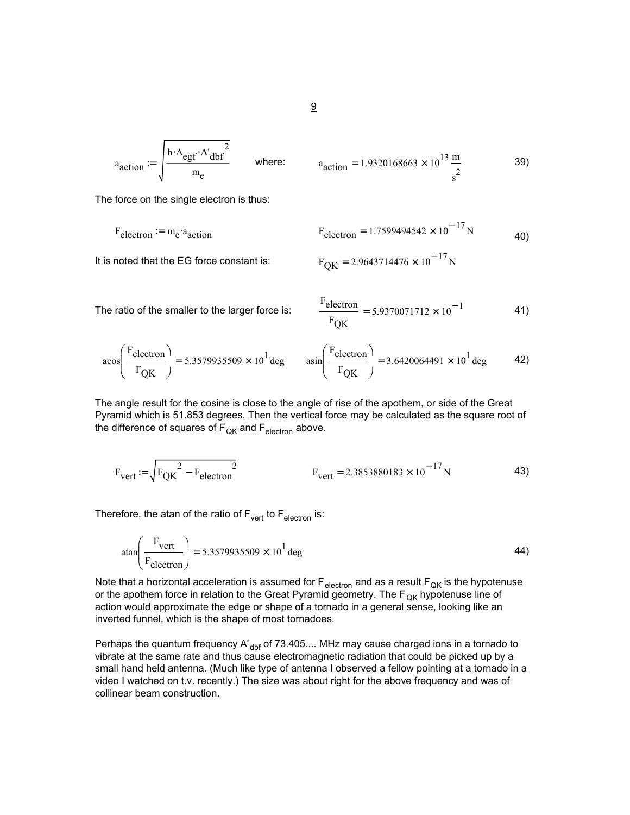$$
a_{action} := \sqrt{\frac{h \cdot A_{egf} \cdot A'_{dbf}^2}{m_e}}
$$
 where:  $a_{action} =$ 

$$
a_{\text{action}} = 1.9320168663 \times 10^{13} \frac{\text{m}}{\text{s}^2}
$$
 39)

The force on the single electron is thus:

$$
F_{\text{electron}} = m_{\text{e}} \cdot a_{\text{action}}
$$
\n
$$
F_{\text{electron}} = 1.7599494542 \times 10^{-17} \text{N}
$$
\n
$$
\tag{40}
$$

It is noted that the EG force constant is:

$$
F_{OK} = 2.9643714476 \times 10^{-17} N
$$

The ratio of the smaller to the larger force is:

$$
\frac{\text{Felectron}}{\text{F}_{\text{QK}}} = 5.9370071712 \times 10^{-1}
$$
 41)

$$
\text{acos}\left(\frac{\text{Felectron}}{\text{FQK}}\right) = 5.3579935509 \times 10^1 \text{ deg} \qquad \text{asin}\left(\frac{\text{Felectron}}{\text{FQK}}\right) = 3.6420064491 \times 10^1 \text{ deg}
$$
 42)

The angle result for the cosine is close to the angle of rise of the apothem, or side of the Great Pyramid which is 51.853 degrees. Then the vertical force may be calculated as the square root of the difference of squares of  $F_{QK}$  and  $F_{electron}$  above.

$$
F_{\text{vert}} = \sqrt{F_{\text{QK}}^2 - F_{\text{electron}}^2}
$$
 43)

Therefore, the atan of the ratio of  $F_{\text{vert}}$  to  $F_{\text{electron}}$  is:

$$
\text{atan}\left(\frac{\text{F}_{\text{vert}}}{\text{F}_{\text{electron}}}\right) = 5.3579935509 \times 10^1 \text{ deg}
$$

Note that a horizontal acceleration is assumed for  $F_{\text{electron}}$  and as a result  $F_{\text{QK}}$  is the hypotenuse or the apothem force in relation to the Great Pyramid geometry. The  $F_{QK}$  hypotenuse line of action would approximate the edge or shape of a tornado in a general sense, looking like an inverted funnel, which is the shape of most tornadoes.

Perhaps the quantum frequency A' $_{\text{dbf}}$  of 73.405.... MHz may cause charged ions in a tornado to vibrate at the same rate and thus cause electromagnetic radiation that could be picked up by a small hand held antenna. (Much like type of antenna I observed a fellow pointing at a tornado in a video I watched on t.v. recently.) The size was about right for the above frequency and was of collinear beam construction.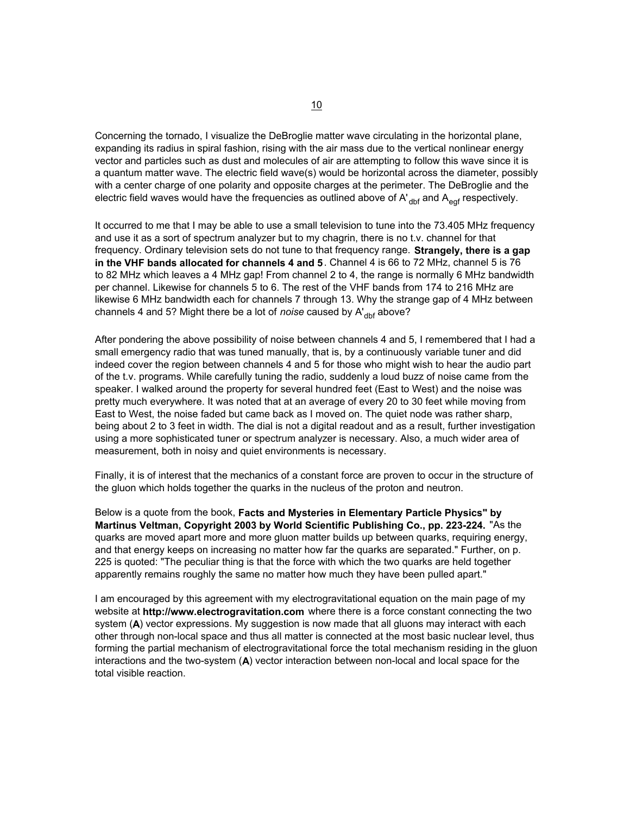Concerning the tornado, I visualize the DeBroglie matter wave circulating in the horizontal plane, expanding its radius in spiral fashion, rising with the air mass due to the vertical nonlinear energy vector and particles such as dust and molecules of air are attempting to follow this wave since it is a quantum matter wave. The electric field wave(s) would be horizontal across the diameter, possibly with a center charge of one polarity and opposite charges at the perimeter. The DeBroglie and the electric field waves would have the frequencies as outlined above of  $A'_{\text{dbf}}$  and  $A_{\text{eq}}$  respectively.

It occurred to me that I may be able to use a small television to tune into the 73.405 MHz frequency and use it as a sort of spectrum analyzer but to my chagrin, there is no t.v. channel for that frequency. Ordinary television sets do not tune to that frequency range. **Strangely, there is a gap in the VHF bands allocated for channels 4 and 5**. Channel 4 is 66 to 72 MHz, channel 5 is 76 to 82 MHz which leaves a 4 MHz gap! From channel 2 to 4, the range is normally 6 MHz bandwidth per channel. Likewise for channels 5 to 6. The rest of the VHF bands from 174 to 216 MHz are likewise 6 MHz bandwidth each for channels 7 through 13. Why the strange gap of 4 MHz between channels 4 and 5? Might there be a lot of *noise* caused by A'<sub>dbf</sub> above?

After pondering the above possibility of noise between channels 4 and 5, I remembered that I had a small emergency radio that was tuned manually, that is, by a continuously variable tuner and did indeed cover the region between channels 4 and 5 for those who might wish to hear the audio part of the t.v. programs. While carefully tuning the radio, suddenly a loud buzz of noise came from the speaker. I walked around the property for several hundred feet (East to West) and the noise was pretty much everywhere. It was noted that at an average of every 20 to 30 feet while moving from East to West, the noise faded but came back as I moved on. The quiet node was rather sharp, being about 2 to 3 feet in width. The dial is not a digital readout and as a result, further investigation using a more sophisticated tuner or spectrum analyzer is necessary. Also, a much wider area of measurement, both in noisy and quiet environments is necessary.

Finally, it is of interest that the mechanics of a constant force are proven to occur in the structure of the gluon which holds together the quarks in the nucleus of the proton and neutron.

Below is a quote from the book, **Facts and Mysteries in Elementary Particle Physics" by Martinus Veltman, Copyright 2003 by World Scientific Publishing Co., pp. 223-224.** "As the quarks are moved apart more and more gluon matter builds up between quarks, requiring energy, and that energy keeps on increasing no matter how far the quarks are separated." Further, on p. 225 is quoted: "The peculiar thing is that the force with which the two quarks are held together apparently remains roughly the same no matter how much they have been pulled apart."

I am encouraged by this agreement with my electrogravitational equation on the main page of my website at **http://www.electrogravitation.com** where there is a force constant connecting the two system (**A**) vector expressions. My suggestion is now made that all gluons may interact with each other through non-local space and thus all matter is connected at the most basic nuclear level, thus forming the partial mechanism of electrogravitational force the total mechanism residing in the gluon interactions and the two-system (**A**) vector interaction between non-local and local space for the total visible reaction.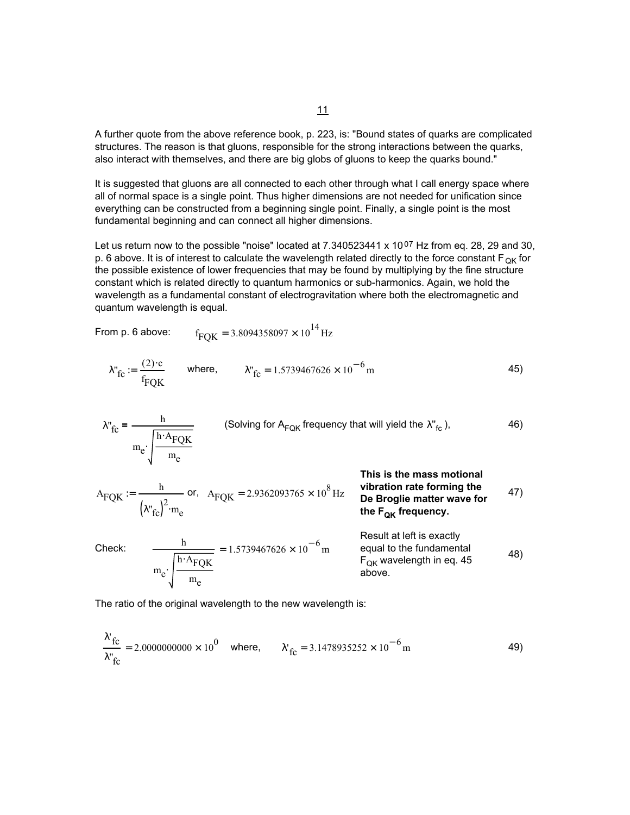A further quote from the above reference book, p. 223, is: "Bound states of quarks are complicated structures. The reason is that gluons, responsible for the strong interactions between the quarks, also interact with themselves, and there are big globs of gluons to keep the quarks bound."

It is suggested that gluons are all connected to each other through what I call energy space where all of normal space is a single point. Thus higher dimensions are not needed for unification since everything can be constructed from a beginning single point. Finally, a single point is the most fundamental beginning and can connect all higher dimensions.

Let us return now to the possible "noise" located at 7.340523441 x 1007 Hz from eq. 28, 29 and 30, p. 6 above. It is of interest to calculate the wavelength related directly to the force constant  $F_{OK}$  for the possible existence of lower frequencies that may be found by multiplying by the fine structure constant which is related directly to quantum harmonics or sub-harmonics. Again, we hold the wavelength as a fundamental constant of electrogravitation where both the electromagnetic and quantum wavelength is equal.

From p. 6 above: 
$$
f_{FQK} = 3.8094358097 \times 10^{14} Hz
$$

$$
\lambda_{\text{TC}}^{\text{v}} := \frac{(2) \cdot \text{c}}{f_{\text{FQK}}} \qquad \text{where,} \qquad \lambda_{\text{TC}}^{\text{v}} = 1.5739467626 \times 10^{-6} \text{m} \tag{45}
$$

$$
\lambda_{\text{fc}}^{\text{v}} = \frac{h}{m_{\text{e}} \sqrt{\frac{h \cdot A_{\text{FQK}}}{m_{\text{e}}}}}
$$
 (Solving for A<sub>FQK</sub> frequency that will yield the  $\lambda_{\text{fc}}^{\text{v}}\text{)},$  46)

$$
A_{\text{FQK}} := \frac{h}{\left(\lambda_{\text{fc}}^{\text{v}}\right)^2 \cdot m_e}
$$
 or,  $A_{\text{FQK}} = 2.9362093765 \times 10^8 \text{ Hz}$  **vibration rate forming the De Broglie matter wave for the F<sub>QR</sub> frequency.**

Check: 
$$
\frac{h}{m_e \cdot \sqrt{\frac{h \cdot A_{\text{FQK}}}{m_e}}}
$$
 = 1.5739467626 × 10<sup>-6</sup> m  
\nResult at left is exactly equal to the fundamental  
\nequal to the fundamental  
\nF<sub>QK</sub> wavelength in eq. 45  
\nabove.

The ratio of the original wavelength to the new wavelength is:

$$
\frac{\lambda'_{\text{fc}}}{\lambda''_{\text{fc}}} = 2.00000000000 \times 10^0 \quad \text{where,} \qquad \lambda'_{\text{fc}} = 3.1478935252 \times 10^{-6} \text{m} \tag{49}
$$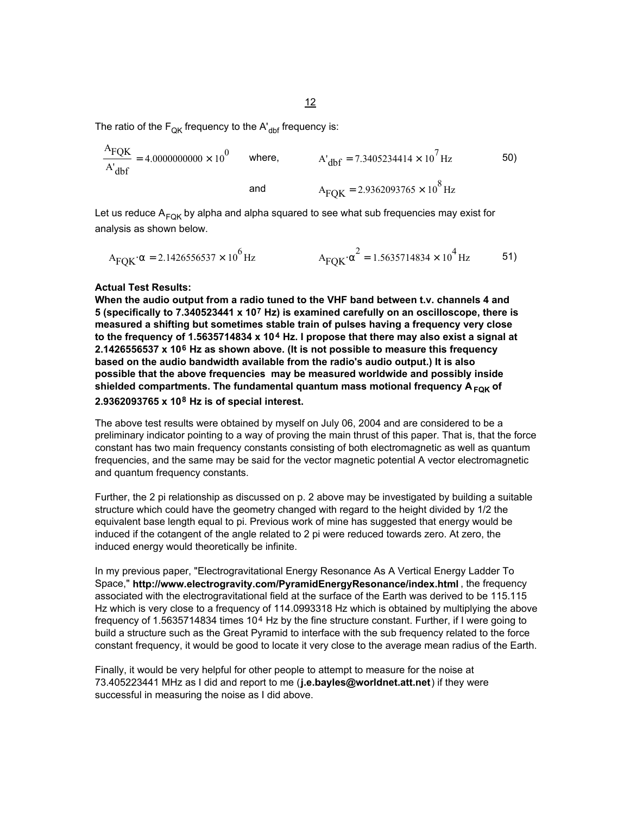The ratio of the  $F_{OK}$  frequency to the A'<sub>dbf</sub> frequency is:

$$
\frac{A_{\text{FQK}}}{A_{\text{dbf}}} = 4.0000000000 \times 10^{0}
$$
 where,  
 
$$
A_{\text{dbf}} = 7.3405234414 \times 10^{7} \text{ Hz}
$$
 50)  
and  

$$
A_{\text{FQK}} = 2.9362093765 \times 10^{8} \text{ Hz}
$$

Let us reduce  $A_{FQR}$  by alpha and alpha squared to see what sub frequencies may exist for analysis as shown below.

$$
A_{FQK} \alpha = 2.1426556537 \times 10^{6} \text{ Hz}
$$
\n
$$
A_{FQK} \alpha^{2} = 1.5635714834 \times 10^{4} \text{ Hz}
$$
\n51)

### **Actual Test Results:**

**When the audio output from a radio tuned to the VHF band between t.v. channels 4 and 5 (specifically to 7.340523441 x 107 Hz) is examined carefully on an oscilloscope, there is measured a shifting but sometimes stable train of pulses having a frequency very close to the frequency of 1.5635714834 x 104 Hz. I propose that there may also exist a signal at 2.1426556537 x 106 Hz as shown above. (It is not possible to measure this frequency based on the audio bandwidth available from the radio's audio output.) It is also possible that the above frequencies may be measured worldwide and possibly inside**  shielded compartments. The fundamental quantum mass motional frequency A<sub>FOK</sub> of

## **2.9362093765 x 108 Hz is of special interest.**

The above test results were obtained by myself on July 06, 2004 and are considered to be a preliminary indicator pointing to a way of proving the main thrust of this paper. That is, that the force constant has two main frequency constants consisting of both electromagnetic as well as quantum frequencies, and the same may be said for the vector magnetic potential A vector electromagnetic and quantum frequency constants.

Further, the 2 pi relationship as discussed on p. 2 above may be investigated by building a suitable structure which could have the geometry changed with regard to the height divided by 1/2 the equivalent base length equal to pi. Previous work of mine has suggested that energy would be induced if the cotangent of the angle related to 2 pi were reduced towards zero. At zero, the induced energy would theoretically be infinite.

In my previous paper, "Electrogravitational Energy Resonance As A Vertical Energy Ladder To Space," **http://www.electrogravity.com/PyramidEnergyResonance/index.html** , the frequency associated with the electrogravitational field at the surface of the Earth was derived to be 115.115 Hz which is very close to a frequency of 114.0993318 Hz which is obtained by multiplying the above frequency of 1.5635714834 times 104 Hz by the fine structure constant. Further, if I were going to build a structure such as the Great Pyramid to interface with the sub frequency related to the force constant frequency, it would be good to locate it very close to the average mean radius of the Earth.

Finally, it would be very helpful for other people to attempt to measure for the noise at 73.405223441 MHz as I did and report to me (**j.e.bayles@worldnet.att.net**) if they were successful in measuring the noise as I did above.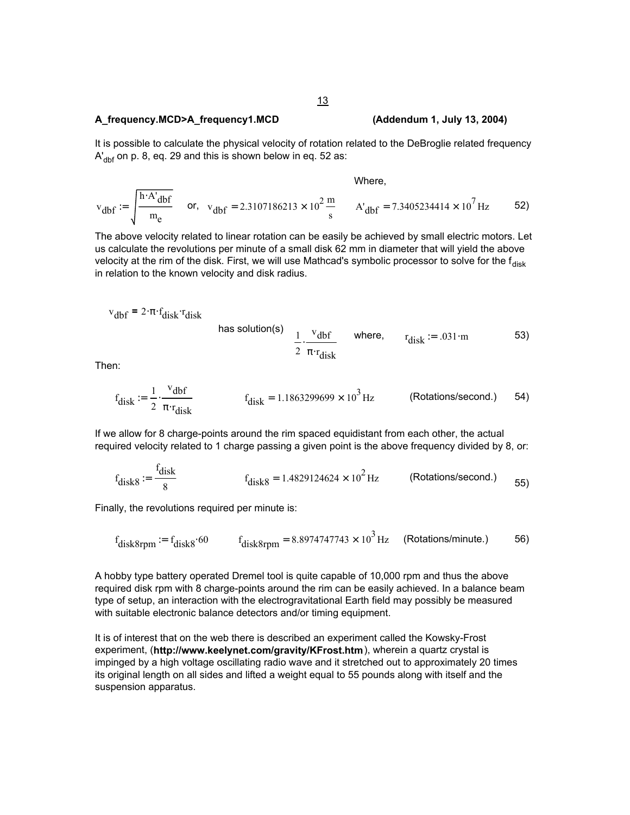### **A\_frequency.MCD>A\_frequency1.MCD (Addendum 1, July 13, 2004)**

It is possible to calculate the physical velocity of rotation related to the DeBroglie related frequency  $A'_{\text{dbf}}$  on p. 8, eq. 29 and this is shown below in eq. 52 as:

Where,

$$
v_{dbf} := \int \frac{h \cdot A'_{dbf}}{m_e} \quad \text{or,} \quad v_{dbf} = 2.3107186213 \times 10^2 \frac{m}{s} \quad A'_{dbf} = 7.3405234414 \times 10^7 \text{ Hz} \quad 52)
$$

The above velocity related to linear rotation can be easily be achieved by small electric motors. Let us calculate the revolutions per minute of a small disk 62 mm in diameter that will yield the above velocity at the rim of the disk. First, we will use Mathcad's symbolic processor to solve for the  $f_{\text{disk}}$ in relation to the known velocity and disk radius.

$$
v_{\rm dbf} = 2 \cdot \pi \cdot f_{\rm disk} \cdot r_{\rm disk}
$$

has solution(s) 
$$
\frac{1}{2} \cdot \frac{v_{\text{dbf}}}{\pi \cdot r_{\text{disk}}}
$$
 where,  $r_{\text{disk}} := .031 \cdot m$  53)

Then:

$$
f_{\text{disk}} := \frac{1}{2} \cdot \frac{v_{\text{dbf}}}{\pi \cdot r_{\text{disk}}} \qquad f_{\text{disk}} = 1.1863299699 \times 10^3 \,\text{Hz} \qquad (\text{Rotations/second.}) \qquad 54)
$$

If we allow for 8 charge-points around the rim spaced equidistant from each other, the actual required velocity related to 1 charge passing a given point is the above frequency divided by 8, or:

$$
f_{\text{disk8}} := \frac{f_{\text{disk}}}{8}
$$
\n
$$
f_{\text{disk8}} = 1.4829124624 \times 10^2 \,\text{Hz}
$$
\n(Rotations/second.)

\n
$$
55
$$

Finally, the revolutions required per minute is:

$$
f_{\text{disk8rpm}} \coloneqq f_{\text{disk8}} \cdot 60 \qquad f_{\text{disk8rpm}} = 8.8974747743 \times 10^3 \,\text{Hz} \qquad \text{(Rotations/minute.)} \tag{56}
$$

A hobby type battery operated Dremel tool is quite capable of 10,000 rpm and thus the above required disk rpm with 8 charge-points around the rim can be easily achieved. In a balance beam type of setup, an interaction with the electrogravitational Earth field may possibly be measured with suitable electronic balance detectors and/or timing equipment.

It is of interest that on the web there is described an experiment called the Kowsky-Frost experiment, (**http://www.keelynet.com/gravity/KFrost.htm**), wherein a quartz crystal is impinged by a high voltage oscillating radio wave and it stretched out to approximately 20 times its original length on all sides and lifted a weight equal to 55 pounds along with itself and the suspension apparatus.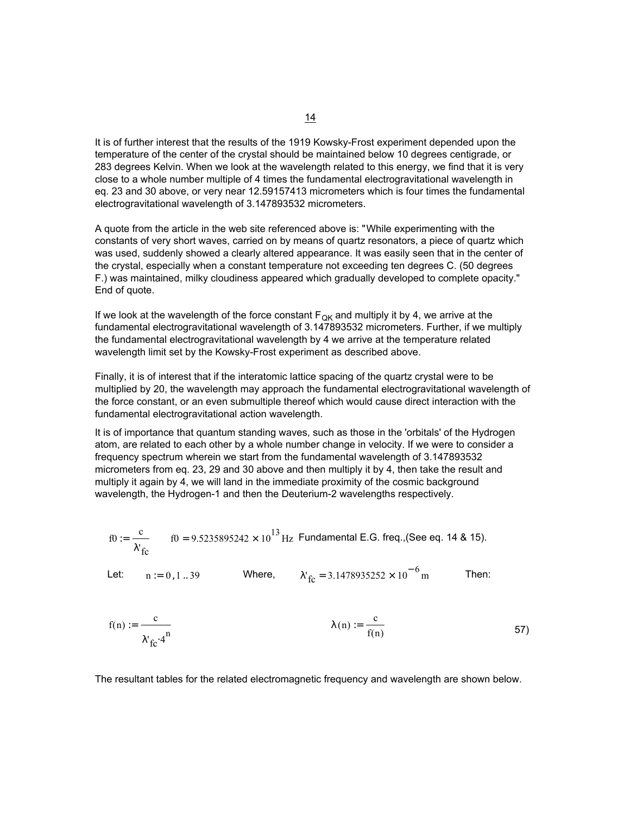It is of further interest that the results of the 1919 Kowsky-Frost experiment depended upon the temperature of the center of the crystal should be maintained below 10 degrees centigrade, or 283 degrees Kelvin. When we look at the wavelength related to this energy, we find that it is very close to a whole number multiple of 4 times the fundamental electrogravitational wavelength in eq. 23 and 30 above, or very near 12.59157413 micrometers which is four times the fundamental electrogravitational wavelength of 3.147893532 micrometers.

A quote from the article in the web site referenced above is: "While experimenting with the constants of very short waves, carried on by means of quartz resonators, a piece of quartz which was used, suddenly showed a clearly altered appearance. It was easily seen that in the center of the crystal, especially when a constant temperature not exceeding ten degrees C. (50 degrees F.) was maintained, milky cloudiness appeared which gradually developed to complete opacity." End of quote.

If we look at the wavelength of the force constant  $F_{\text{QK}}$  and multiply it by 4, we arrive at the fundamental electrogravitational wavelength of 3.147893532 micrometers. Further, if we multiply the fundamental electrogravitational wavelength by 4 we arrive at the temperature related wavelength limit set by the Kowsky-Frost experiment as described above.

Finally, it is of interest that if the interatomic lattice spacing of the quartz crystal were to be multiplied by 20, the wavelength may approach the fundamental electrogravitational wavelength of the force constant, or an even submultiple thereof which would cause direct interaction with the fundamental electrogravitational action wavelength.

It is of importance that quantum standing waves, such as those in the 'orbitals' of the Hydrogen atom, are related to each other by a whole number change in velocity. If we were to consider a frequency spectrum wherein we start from the fundamental wavelength of 3.147893532 micrometers from eq. 23, 29 and 30 above and then multiply it by 4, then take the result and multiply it again by 4, we will land in the immediate proximity of the cosmic background wavelength, the Hydrogen-1 and then the Deuterium-2 wavelengths respectively.

$$
f0 := \frac{c}{\lambda'_{fc}} \qquad f0 = 9.5235895242 \times 10^{13} \,\text{Hz} \text{ Fundamental E.G. freq. (See eq. 14 \& 15).}
$$

Let:  $n := 0, 1...39$  Where,  $\lambda_{\text{fc}}$  = 3.1478935252 × 10<sup>-6</sup> m Then:

$$
f(n) := \frac{c}{\lambda'_{fc} \cdot 4^n}
$$
  $\lambda(n) := \frac{c}{f(n)}$  57)

The resultant tables for the related electromagnetic frequency and wavelength are shown below.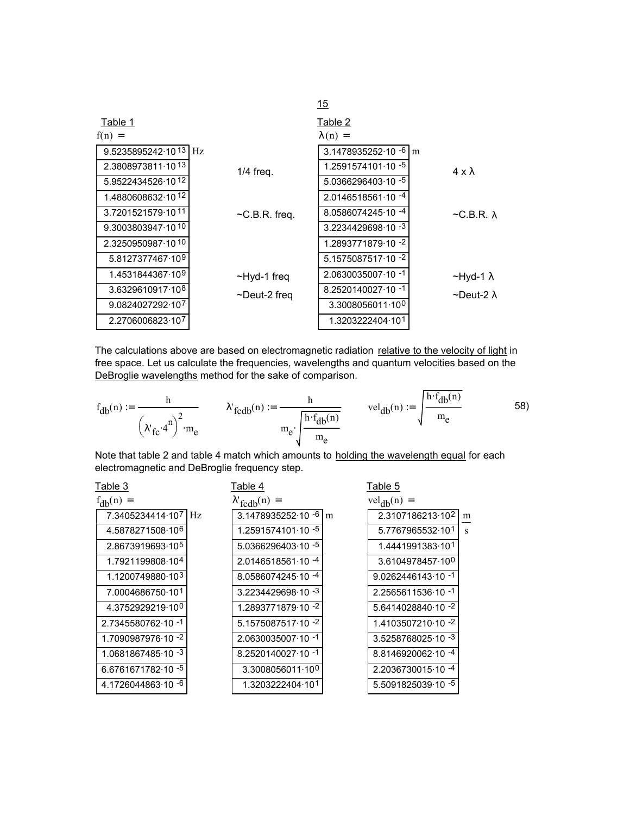|                                  |                     | 15                                     |                         |
|----------------------------------|---------------------|----------------------------------------|-------------------------|
| Table 1                          |                     | Table 2                                |                         |
| $f(n) =$                         |                     | $\lambda(n) =$                         |                         |
| 9.5235895242.10 <sup>13</sup> Hz |                     | $3.1478935252 \cdot 10 \cdot 6 \mid m$ |                         |
| 2.3808973811.1013                | $1/4$ freq.         | $1.2591574101.10 - 5$                  | $4 \times \lambda$      |
| 5.9522434526.1012                |                     | $5.0366296403.10 - 5$                  |                         |
| 1.4880608632.1012                |                     | $2.0146518561 \cdot 10^{-4}$           |                         |
| 3.7201521579.1011                | $\neg$ C.B.R. freq. | 8.0586074245.10 - 4                    | $\neg$ C.B.R. $\lambda$ |
| 9.3003803947.1010                |                     | $3.2234429698.10 - 3$                  |                         |
| 2.3250950987.1010                |                     | 1.2893771879.10 - 2                    |                         |
| 5.8127377467.109                 |                     | $5.1575087517.10 -2$                   |                         |
| 1.4531844367.10 <sup>9</sup>     | ~Hyd-1 freq         | $2.0630035007 \cdot 10^{-1}$           | $~\sim$ Hyd-1 $\lambda$ |
| 3.6329610917.108                 | ~Deut-2 freg        | $8.2520140027 \cdot 10^{-1}$           | ∼Deut-2 λ               |
| 9.0824027292-107                 |                     | 3.3008056011.100                       |                         |
| 2.2706006823-107                 |                     | 1.3203222404.101                       |                         |

The calculations above are based on electromagnetic radiation relative to the velocity of light in free space. Let us calculate the frequencies, wavelengths and quantum velocities based on the DeBroglie wavelengths method for the sake of comparison.

$$
f_{db}(n) := \frac{h}{\left(\lambda'_{fc} \cdot 4^n\right)^2 \cdot m_e} \qquad \lambda'_{fcdb}(n) := \frac{h}{m_e \cdot \sqrt{\frac{h \cdot f_{db}(n)}{m_e}}} \qquad \text{vel}_{db}(n) := \sqrt{\frac{h \cdot f_{db}(n)}{m_e}} \qquad (58)
$$

Note that table 2 and table 4 match which amounts to holding the wavelength equal for each electromagnetic and DeBroglie frequency step.

| Table 3                      | Table 4                        | Table 5             |   |
|------------------------------|--------------------------------|---------------------|---|
| $f_{db}(n) =$                | $\lambda'_{f \text{cdb}}(n) =$ | $vel_{db}(n) =$     |   |
| 7.3405234414.107 Hz          | $3.1478935252 \cdot 10^{-6}$ m | 2.3107186213-102    | m |
| 4.5878271508.10 <sup>6</sup> | $1.2591574101.10 - 5$          | 5.7767965532.101    | S |
| 2.8673919693-105             | 5.0366296403.10 - 5            | 1.4441991383-101    |   |
| 1.7921199808-104             | $2.0146518561 \cdot 10^{-4}$   | 3.6104978457.100    |   |
| 1.1200749880-103             | $8.0586074245.10 -4$           | 9.0262446143.10 -1  |   |
| 7.0004686750.101             | 3.2234429698.10 - 3            | 2.2565611536.10 -1  |   |
| 4.3752929219.100             | 1.2893771879.10 - 2            | 5.6414028840.10 -2  |   |
| 2.7345580762-10-1            | 5.1575087517.10 -2             | 1.4103507210.10 -2  |   |
| 1.7090987976 10 -2           | $2.0630035007 \cdot 10^{-1}$   | 3.5258768025.10 - 3 |   |
| 1.0681867485.10 - 3          | 8.2520140027.10 -1             | 8.8146920062.10 -4  |   |
| 6.6761671782.10 - 5          | 3.3008056011.100               | 2.2036730015.10 - 4 |   |
| 4.1726044863.10 - 6          | 1.3203222404.101               | 5.5091825039.10 - 5 |   |
|                              |                                |                     |   |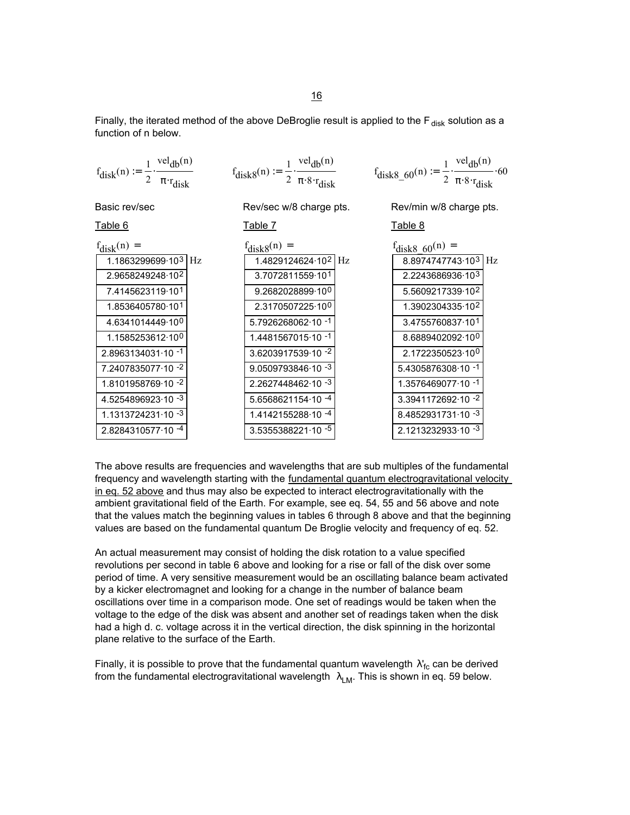Finally, the iterated method of the above DeBroglie result is applied to the  $F_{disk}$  solution as a function of n below.

| $vel_{db}(n)$<br>$\mathbf{1}$<br>$f_{disk}(n) := \frac{1}{2}$ .<br>$\pi$ ·r <sub>disk</sub>                                                                                                                                                                                                              |                  | $f_{\text{disk8}}(n) := \frac{1}{2} \cdot \frac{v e_i_{\text{db}} v_i}{\pi \cdot 8 \cdot r_{\text{disk}}}$                                                                                                                                                                    |         | $f_{\text{disk8\_60}}(n) := \frac{1}{2} \cdot \frac{\text{vel}_{\text{db}}(n)}{\pi \cdot 8 \cdot r_{\text{disk}}}$                                                                                                                                                              | .60 |
|----------------------------------------------------------------------------------------------------------------------------------------------------------------------------------------------------------------------------------------------------------------------------------------------------------|------------------|-------------------------------------------------------------------------------------------------------------------------------------------------------------------------------------------------------------------------------------------------------------------------------|---------|---------------------------------------------------------------------------------------------------------------------------------------------------------------------------------------------------------------------------------------------------------------------------------|-----|
| Basic rev/sec                                                                                                                                                                                                                                                                                            |                  | Rev/sec w/8 charge pts.                                                                                                                                                                                                                                                       |         | Rev/min w/8 charge pts.                                                                                                                                                                                                                                                         |     |
| Table 6                                                                                                                                                                                                                                                                                                  | Table 7          |                                                                                                                                                                                                                                                                               | Table 8 |                                                                                                                                                                                                                                                                                 |     |
| $f_{disk}(n) =$<br>1.1863299699-10 <sup>3</sup> Hz<br>2.9658249248.102<br>7.4145623119-101<br>1.8536405780.101<br>4.6341014449.100<br>1.1585253612-10 <sup>0</sup><br>$2.8963134031 \cdot 10^{-1}$<br>7.2407835077.10 -2<br>1.8101958769.10 -2<br>4.5254896923.10 - 3<br>1.1313724231 $\cdot$ 10 $^{-3}$ | $f_{disk8}(n) =$ | 1.4829124624 10 <sup>2</sup> Hz<br>3.7072811559-101<br>9.2682028899.100<br>2.3170507225.10 <sup>0</sup><br>5.7926268062-10-1<br>1.4481567015.10 -1<br>3.6203917539-10-2<br>$9.0509793846.10 - 3$<br>$2.2627448462 \cdot 10^{-3}$<br>$5.6568621154.10 -4$<br>1.4142155288-10-4 |         | $t_{\text{disk8}}$ 60 <sup>(n)</sup> =<br>8.8974747743.103 Hz<br>2.2243686936-103<br>5.5609217339 102<br>1.3902304335.102<br>3.4755760837-101<br>8.6889402092.100<br>2.1722350523-100<br>$5.4305876308.10 -1$<br>1.3576469077.10 -1<br>3.3941172692-10-2<br>8.4852931731.10 - 3 |     |
| 2.8284310577.10 - 4                                                                                                                                                                                                                                                                                      |                  | 3.5355388221.10 - 5                                                                                                                                                                                                                                                           |         | 2.1213232933-10-3                                                                                                                                                                                                                                                               |     |

The above results are frequencies and wavelengths that are sub multiples of the fundamental frequency and wavelength starting with the fundamental quantum electrogravitational velocity in eq. 52 above and thus may also be expected to interact electrogravitationally with the ambient gravitational field of the Earth. For example, see eq. 54, 55 and 56 above and note that the values match the beginning values in tables 6 through 8 above and that the beginning values are based on the fundamental quantum De Broglie velocity and frequency of eq. 52.

An actual measurement may consist of holding the disk rotation to a value specified revolutions per second in table 6 above and looking for a rise or fall of the disk over some period of time. A very sensitive measurement would be an oscillating balance beam activated by a kicker electromagnet and looking for a change in the number of balance beam oscillations over time in a comparison mode. One set of readings would be taken when the voltage to the edge of the disk was absent and another set of readings taken when the disk had a high d. c. voltage across it in the vertical direction, the disk spinning in the horizontal plane relative to the surface of the Earth.

Finally, it is possible to prove that the fundamental quantum wavelength  $\lambda'_{\sf fc}$  can be derived from the fundamental electrogravitational wavelength  $\lambda_{LM}$ . This is shown in eq. 59 below.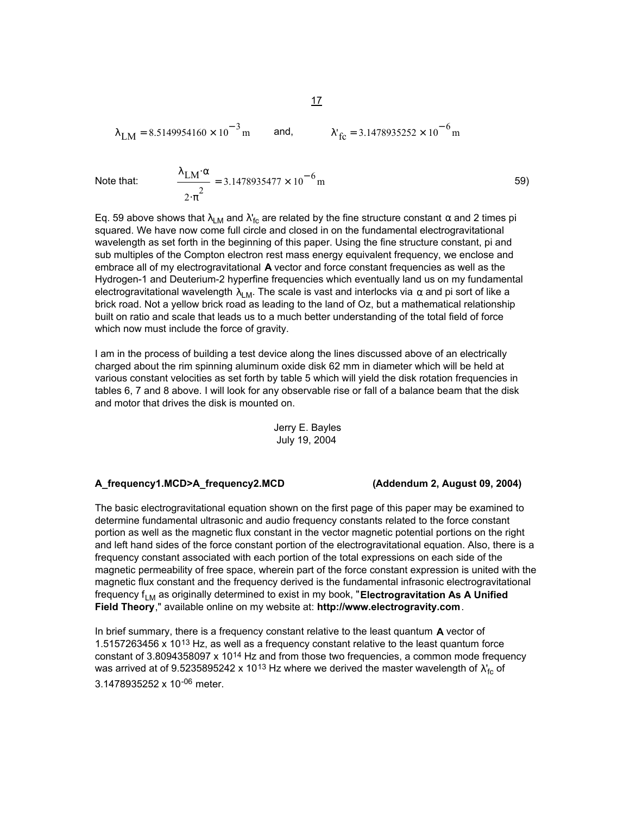$$
\lambda_{LM} = 8.5149954160 \times 10^{-3}
$$
 m and,  $\lambda'_{fc} = 3.1478935252 \times 10^{-6}$  m

Note that:

$$
= 3.1478935477 \times 10^{-6} \,\mathrm{m} \tag{59}
$$

Eq. 59 above shows that  $\lambda_{\sf LM}$  and  $\lambda'_{\sf fc}$  are related by the fine structure constant  $\alpha$  and 2 times pi squared. We have now come full circle and closed in on the fundamental electrogravitational wavelength as set forth in the beginning of this paper. Using the fine structure constant, pi and sub multiples of the Compton electron rest mass energy equivalent frequency, we enclose and embrace all of my electrogravitational **A** vector and force constant frequencies as well as the Hydrogen-1 and Deuterium-2 hyperfine frequencies which eventually land us on my fundamental electrogravitational wavelength  $\lambda_{LM}$ . The scale is vast and interlocks via  $\alpha$  and pi sort of like a brick road. Not a yellow brick road as leading to the land of Oz, but a mathematical relationship built on ratio and scale that leads us to a much better understanding of the total field of force which now must include the force of gravity.

I am in the process of building a test device along the lines discussed above of an electrically charged about the rim spinning aluminum oxide disk 62 mm in diameter which will be held at various constant velocities as set forth by table 5 which will yield the disk rotation frequencies in tables 6, 7 and 8 above. I will look for any observable rise or fall of a balance beam that the disk and motor that drives the disk is mounted on.

Jerry E. Bayles July 19, 2004

### **A\_frequency1.MCD>A\_frequency2.MCD (Addendum 2, August 09, 2004)**

 $\lambda$ <sub>LM</sub>⋅α

 $2 \cdot \pi^2$ 

The basic electrogravitational equation shown on the first page of this paper may be examined to determine fundamental ultrasonic and audio frequency constants related to the force constant portion as well as the magnetic flux constant in the vector magnetic potential portions on the right and left hand sides of the force constant portion of the electrogravitational equation. Also, there is a frequency constant associated with each portion of the total expressions on each side of the magnetic permeability of free space, wherein part of the force constant expression is united with the magnetic flux constant and the frequency derived is the fundamental infrasonic electrogravitational frequency f<sub>LM</sub> as originally determined to exist in my book, "**Electrogravitation As A Unified Field Theory**," available online on my website at: **http://www.electrogravity.com**.

In brief summary, there is a frequency constant relative to the least quantum **A** vector of 1.5157263456 x 1013 Hz, as well as a frequency constant relative to the least quantum force constant of 3.8094358097 x 1014 Hz and from those two frequencies, a common mode frequency was arrived at of 9.5235895242 x 1013 Hz where we derived the master wavelength of  $\lambda'_{\rm fc}$  of 3.1478935252 x 10-06 meter.

17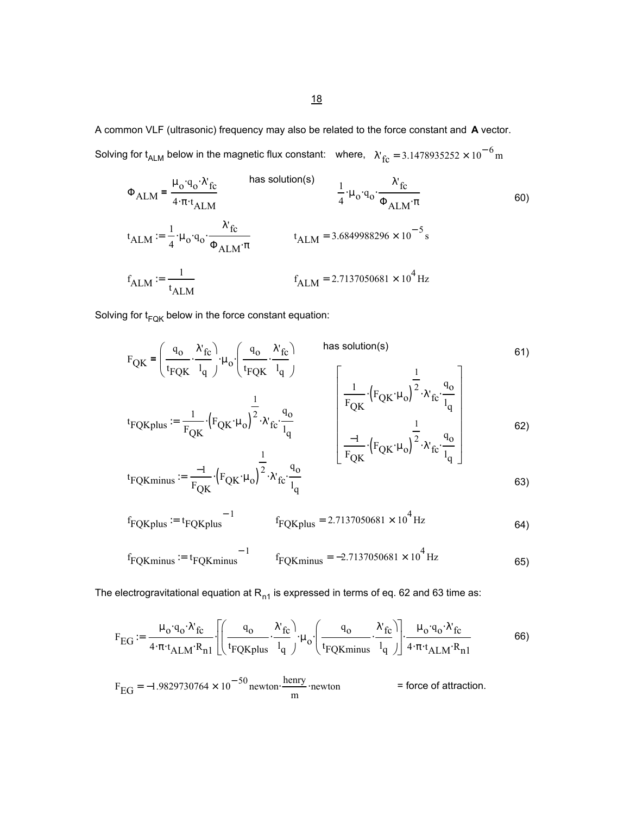A common VLF (ultrasonic) frequency may also be related to the force constant and **A** vector. Solving for t<sub>ALM</sub> below in the magnetic flux constant:  $\,$  where,  $\,$   $\rm \chi_{\rm \, fc}^{}$  = 3.1478935252  $\times$  10 $^{-6}$  m

$$
\Phi_{\text{ALM}} = \frac{\mu_0 \cdot q_0 \cdot \lambda'_{\text{fc}}}{4 \cdot \pi \cdot t_{\text{ALM}}}
$$
\nhas solution(s)\n
$$
\frac{1}{4} \cdot \mu_0 \cdot q_0 \cdot \frac{\lambda'_{\text{fc}}}{\Phi_{\text{ALM}} \cdot \pi}
$$
\n
$$
t_{\text{ALM}} := \frac{1}{4} \cdot \mu_0 \cdot q_0 \cdot \frac{\lambda'_{\text{fc}}}{\Phi_{\text{ALM}} \cdot \pi}
$$
\n
$$
t_{\text{ALM}} = 3.6849988296 \times 10^{-5} \text{s}
$$
\n
$$
f_{\text{ALM}} := \frac{1}{t_{\text{ALM}}}
$$
\n
$$
f_{\text{ALM}} = 2.7137050681 \times 10^{4} \text{ Hz}
$$
\n
$$
f_{\text{ALM}} = 2.7137050681 \times 10^{4} \text{ Hz}
$$

Solving for  $t_{FQK}$  below in the force constant equation:

$$
F_{QK} = \left(\frac{q_o}{t_{FQK}} \cdot \frac{\lambda'_{fc}}{l_q}\right) \mu_o \cdot \left(\frac{q_o}{t_{FQK}} \cdot \frac{\lambda'_{fc}}{l_q}\right)
$$
\nhas solution(s)\n
$$
t_{FQK} = \frac{1}{F_{QK}} \cdot \left(F_{QK} \cdot \mu_o\right)^{\frac{1}{2}} \cdot \lambda'_{fc} \cdot \frac{q_o}{l_q}
$$
\n
$$
t_{FQK} = \frac{1}{F_{QK}} \cdot \left(F_{QK} \cdot \mu_o\right)^{\frac{1}{2}} \cdot \lambda'_{fc} \cdot \frac{q_o}{l_q}
$$
\n
$$
t_{FQK} = \frac{1}{F_{QK}} \cdot \left(F_{QK} \cdot \mu_o\right)^{\frac{1}{2}} \cdot \lambda'_{fc} \cdot \frac{q_o}{l_q}
$$
\n
$$
t_{GZK} = \frac{1}{F_{QK}} \cdot \left(F_{QK} \cdot \mu_o\right)^{\frac{1}{2}} \cdot \lambda'_{fc} \cdot \frac{q_o}{l_q}
$$
\n
$$
t_{GZK} = \frac{1}{F_{QK}} \cdot \left(F_{QK} \cdot \mu_o\right)^{\frac{1}{2}} \cdot \lambda'_{fc} \cdot \frac{q_o}{l_q}
$$
\n
$$
t_{GZK} = \frac{1}{F_{QK}} \cdot \left(F_{QK} \cdot \mu_o\right)^{\frac{1}{2}} \cdot \lambda'_{fc} \cdot \frac{q_o}{l_q}
$$
\n
$$
t_{GZK} = \frac{1}{F_{QK}} \cdot \left(F_{QK} \cdot \mu_o\right)^{\frac{1}{2}} \cdot \lambda'_{fc} \cdot \frac{q_o}{l_q}
$$
\n
$$
t_{GZK} = \frac{1}{F_{QK}} \cdot \left(F_{QK} \cdot \mu_o\right)^{\frac{1}{2}} \cdot \lambda'_{fc} \cdot \frac{q_o}{l_q}
$$
\n
$$
t_{GZK} = \frac{1}{F_{QK}} \cdot \left(F_{QK} \cdot \mu_o\right)^{\frac{1}{2}} \cdot \lambda'_{fc} \cdot \frac{q_o}{l_q}
$$
\n
$$
t_{GZK} = \frac{1}{F_{QK}} \cdot \left(F_{QK} \cdot \mu_o\right)^{\frac{1}{2}} \cdot \lambda'_{fc} \cdot \frac
$$

$$
t_{\text{FQKminus}} := \frac{-1}{F_{\text{QK}}} \left( F_{\text{QK}} \cdot \mu_o \right)^2 \cdot \lambda_{\text{fc}}' \cdot \frac{q_o}{l_q}
$$

$$
f_{FQKplus} := t_{FQKplus}^{-1}
$$
  $f_{FQKplus} = 2.7137050681 \times 10^4$  Hz

$$
f_{\text{FQKminus}} := t_{\text{FQKminus}} \qquad \qquad f_{\text{FQKminus}} = -2.7137050681 \times 10^4 \,\text{Hz}
$$

The electrogravitational equation at  $R_{n1}$  is expressed in terms of eq. 62 and 63 time as:

$$
F_{EG} := \frac{\mu_0 \cdot q_0 \cdot \lambda'_{fc}}{4 \cdot \pi \cdot t_{ALM} \cdot R_{n1}} \left[ \left( \frac{q_0}{t_{FQKplus}} \cdot \frac{\lambda'_{fc}}{l_q} \right) \cdot \mu_0 \cdot \left( \frac{q_0}{t_{FQKminus}} \cdot \frac{\lambda'_{fc}}{l_q} \right) \right] \cdot \frac{\mu_0 \cdot q_0 \cdot \lambda'_{fc}}{4 \cdot \pi \cdot t_{ALM} \cdot R_{n1}} \tag{66}
$$

$$
F_{\text{EG}} = -1.9829730764 \times 10^{-50} \text{ newton} \cdot \frac{\text{henry}}{\text{m}} \cdot \text{newton} \qquad \qquad \text{= force of attraction.}
$$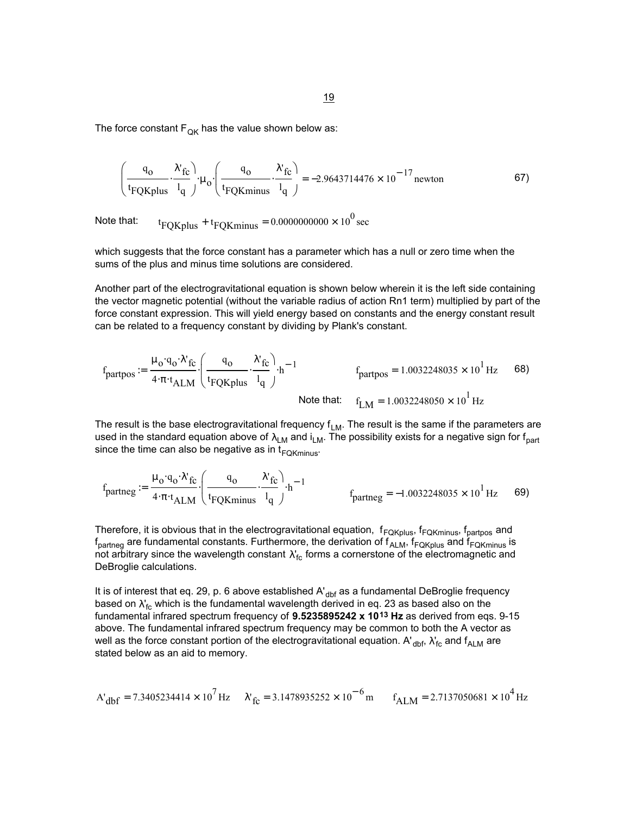The force constant  $F_{OK}$  has the value shown below as:

$$
\left(\frac{q_0}{t_{FQKplus}} \cdot \frac{\lambda'_{fc}}{l_q}\right) \cdot \mu_0 \cdot \left(\frac{q_0}{t_{FQKminus}} \cdot \frac{\lambda'_{fc}}{l_q}\right) = -2.9643714476 \times 10^{-17} \text{ newton}
$$

Note that:  $t_{\rm FQKplus} + t_{\rm FQKminus} = 0.0000000000 \times 10^0 \text{ sec}$ 

which suggests that the force constant has a parameter which has a null or zero time when the sums of the plus and minus time solutions are considered.

Another part of the electrogravitational equation is shown below wherein it is the left side containing the vector magnetic potential (without the variable radius of action Rn1 term) multiplied by part of the force constant expression. This will yield energy based on constants and the energy constant result can be related to a frequency constant by dividing by Plank's constant.

$$
f_{partpos} := \frac{\mu_0 \cdot q_0 \cdot \lambda'_{fc}}{4 \cdot \pi \cdot t_{ALM}} \cdot \left( \frac{q_0}{t_{FQKplus}} \cdot \frac{\lambda'_{fc}}{l_q} \right) \cdot h^{-1}
$$
  
 
$$
f_{partpos} = 1.0032248035 \times 10^1 \text{ Hz}
$$
 68)  
Note that:  $f_{LM} = 1.0032248050 \times 10^1 \text{ Hz}$ 

The result is the base electrogravitational frequency  $f_{LM}$ . The result is the same if the parameters are used in the standard equation above of  $\lambda_{LM}$  and  $i_{LM}$ . The possibility exists for a negative sign for f<sub>part</sub> since the time can also be negative as in  $t_{FOKminus}$ .

$$
f_{partneg} := \frac{\mu_0 \cdot q_0 \cdot \lambda'_{fc}}{4 \cdot \pi \cdot t_{ALM}} \cdot \left( \frac{q_0}{t_{FQKminus}} \cdot \frac{\lambda'_{fc}}{l_q} \right) \cdot h^{-1}
$$
  

$$
f_{partneg} = -1.0032248035 \times 10^1 \text{ Hz}
$$
 69)

Therefore, it is obvious that in the electrogravitational equation,  $f_{FQKplus}$ ,  $f_{FQKminus}$ ,  $f_{partpos}$  and  $f_{\text{partneg}}$  are fundamental constants. Furthermore, the derivation of  $f_{\text{ALM}}$ ,  $f_{\text{FQKplus}}$  and  $f_{\text{FQKminus}}$  is not arbitrary since the wavelength constant  $\lambda'_{\rm fc}$  forms a cornerstone of the electromagnetic and DeBroglie calculations.

It is of interest that eq. 29, p. 6 above established  $A'_{\text{dbf}}$  as a fundamental DeBroglie frequency based on  $\lambda'_{\mathsf{fc}}$  which is the fundamental wavelength derived in eq. 23 as based also on the fundamental infrared spectrum frequency of **9.5235895242 x 1013 Hz** as derived from eqs. 9-15 above. The fundamental infrared spectrum frequency may be common to both the A vector as well as the force constant portion of the electrogravitational equation. A'  $_{\rm dbf}$ ,  $\lambda^\centerdot_{\rm fc}$  and  $\mathsf{f}_{\sf ALM}$  are stated below as an aid to memory.

$$
A'_{dbf} = 7.3405234414 \times 10^7 \,\text{Hz} \quad \text{${\lambda'}_{fc} = 3.1478935252 \times 10^{-6}$ m} \quad \text{${f_{ALM} = 2.7137050681 \times 10^{4}$ Hz}$}
$$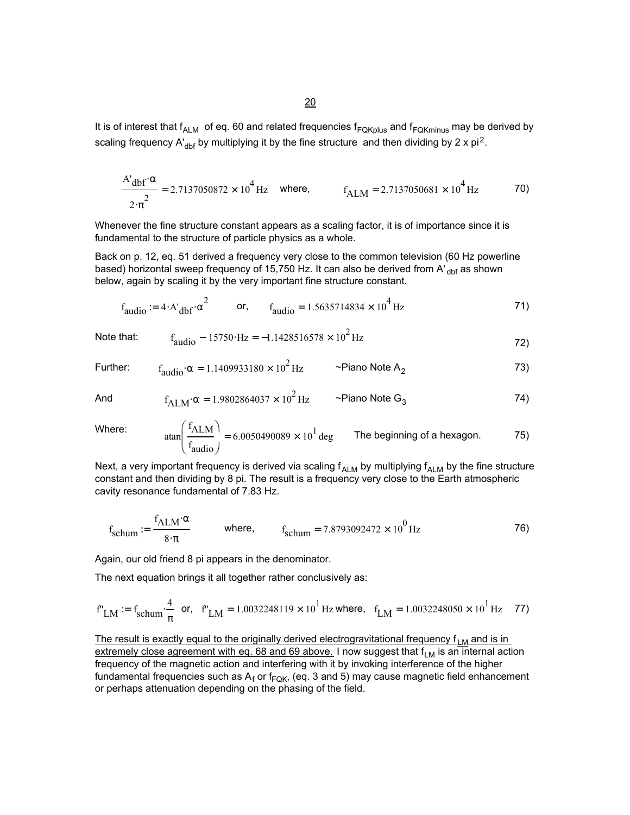20

It is of interest that  $f_{ALM}$  of eq. 60 and related frequencies  $f_{FQKplus}$  and  $f_{FQKminus}$  may be derived by scaling frequency A'<sub>dbf</sub> by multiplying it by the fine structure and then dividing by 2 x pi<sup>2</sup>.

$$
\frac{A'_{\text{dbf}} \alpha}{2 \cdot \pi^2} = 2.7137050872 \times 10^4 \,\text{Hz} \quad \text{where,} \quad f_{\text{ALM}} = 2.7137050681 \times 10^4 \,\text{Hz} \tag{70}
$$

Whenever the fine structure constant appears as a scaling factor, it is of importance since it is fundamental to the structure of particle physics as a whole.

Back on p. 12, eq. 51 derived a frequency very close to the common television (60 Hz powerline based) horizontal sweep frequency of 15,750 Hz. It can also be derived from A'  $_{\text{dbf}}$  as shown below, again by scaling it by the very important fine structure constant.

$$
f_{\text{audio}} := 4 \cdot A'_{\text{dbf}} \cdot \alpha^2
$$
 or,  $f_{\text{audio}} = 1.5635714834 \times 10^4 \text{ Hz}$  71)

Note that: 
$$
f_{\text{audio}} - 15750 \cdot Hz = -1.1428516578 \times 10^2 Hz
$$
 (72)

Further: 
$$
f_{\text{audio}} \cdot \alpha = 1.1409933180 \times 10^2 \text{ Hz}
$$
 ~Piano Note A<sub>2</sub> 73)

And 
$$
f_{\text{ALM}} \alpha = 1.9802864037 \times 10^2 \text{ Hz}
$$
 ~Piano Note G<sub>3</sub> 74)

Where:

$$
\tan\left(\frac{f_{\text{ALM}}}{f_{\text{audio}}}\right) = 6.0050490089 \times 10^1 \text{ deg}
$$
 The beginning of a hexagon. 75)

Next, a very important frequency is derived via scaling  $f_{ALM}$  by multiplying  $f_{ALM}$  by the fine structure constant and then dividing by 8 pi. The result is a frequency very close to the Earth atmospheric cavity resonance fundamental of 7.83 Hz.

$$
f_{\text{schum}} := \frac{f_{\text{ALM}} \cdot \alpha}{8 \cdot \pi}
$$
 where, 
$$
f_{\text{schum}} = 7.8793092472 \times 10^0 \,\text{Hz}
$$
 76)

Again, our old friend 8 pi appears in the denominator.

The next equation brings it all together rather conclusively as:

$$
f''_{LM} := f_{schum} \cdot \frac{4}{\pi}
$$
 or,  $f''_{LM} = 1.0032248119 \times 10^1$  Hz where,  $f_{LM} = 1.0032248050 \times 10^1$  Hz 77)

The result is exactly equal to the originally derived electrogravitational frequency  $f_{LM}$  and is in extremely close agreement with eq. 68 and 69 above. I now suggest that  $f_{LM}$  is an internal action frequency of the magnetic action and interfering with it by invoking interference of the higher fundamental frequencies such as  ${\sf A_f}$  or f<sub>FQK</sub>, (eq. 3 and 5) may cause magnetic field enhancement or perhaps attenuation depending on the phasing of the field.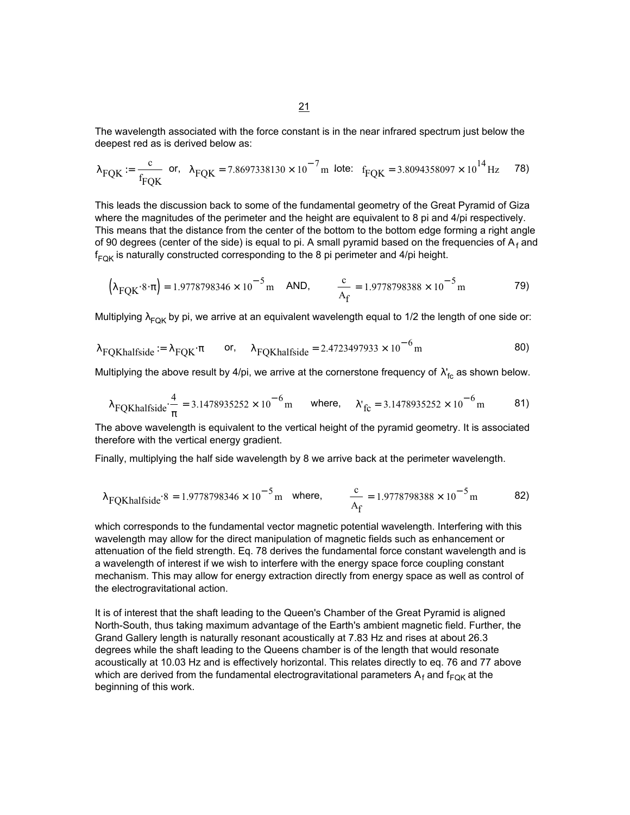The wavelength associated with the force constant is in the near infrared spectrum just below the deepest red as is derived below as:

$$
\lambda_{\text{FQK}} := \frac{c}{f_{\text{FQK}}} \quad \text{or,} \quad \lambda_{\text{FQK}} = 7.8697338130 \times 10^{-7} \, \text{m} \quad \text{lote:} \quad f_{\text{FQK}} = 3.8094358097 \times 10^{14} \, \text{Hz} \tag{78}
$$

This leads the discussion back to some of the fundamental geometry of the Great Pyramid of Giza where the magnitudes of the perimeter and the height are equivalent to 8 pi and 4/pi respectively. This means that the distance from the center of the bottom to the bottom edge forming a right angle of 90 degrees (center of the side) is equal to pi. A small pyramid based on the frequencies of  $A_f$  and  $\sf{f}_{\sf FQK}$  is naturally constructed corresponding to the 8 pi perimeter and 4/pi height.

$$
\left(\lambda_{\text{FQK}} \cdot 8 \cdot \pi\right) = 1.9778798346 \times 10^{-5} \,\text{m} \quad \text{AND}, \qquad \frac{c}{A_{\text{f}}} = 1.9778798388 \times 10^{-5} \,\text{m} \tag{79}
$$

Multiplying  $\lambda_{FQK}$  by pi, we arrive at an equivalent wavelength equal to 1/2 the length of one side or:

$$
\lambda_{\text{FQKhalfside}} := \lambda_{\text{FQK}} \cdot \pi \qquad \text{or,} \qquad \lambda_{\text{FQKhalfside}} = 2.4723497933 \times 10^{-6} \,\text{m} \tag{80}
$$

Multiplying the above result by 4/pi, we arrive at the cornerstone frequency of  $\lambda_{\rm fc}^{\rm r}$  as shown below.

$$
\lambda_{\text{FQKhalfside}} \cdot \frac{4}{\pi} = 3.1478935252 \times 10^{-6} \,\text{m} \qquad \text{where,} \qquad \lambda_{\text{fc}} = 3.1478935252 \times 10^{-6} \,\text{m} \tag{81}
$$

The above wavelength is equivalent to the vertical height of the pyramid geometry. It is associated therefore with the vertical energy gradient.

Finally, multiplying the half side wavelength by 8 we arrive back at the perimeter wavelength.

$$
\lambda
$$
 FQKhalfside<sup>8</sup> = 1.9778798346 × 10<sup>-5</sup> m where,  $\frac{c}{A_f}$  = 1.9778798388 × 10<sup>-5</sup> m 82)

which corresponds to the fundamental vector magnetic potential wavelength. Interfering with this wavelength may allow for the direct manipulation of magnetic fields such as enhancement or attenuation of the field strength. Eq. 78 derives the fundamental force constant wavelength and is a wavelength of interest if we wish to interfere with the energy space force coupling constant mechanism. This may allow for energy extraction directly from energy space as well as control of the electrogravitational action.

It is of interest that the shaft leading to the Queen's Chamber of the Great Pyramid is aligned North-South, thus taking maximum advantage of the Earth's ambient magnetic field. Further, the Grand Gallery length is naturally resonant acoustically at 7.83 Hz and rises at about 26.3 degrees while the shaft leading to the Queens chamber is of the length that would resonate acoustically at 10.03 Hz and is effectively horizontal. This relates directly to eq. 76 and 77 above which are derived from the fundamental electrogravitational parameters  ${\sf A}_{\sf f}$  and  ${\sf f}_{\sf FQK}$  at the beginning of this work.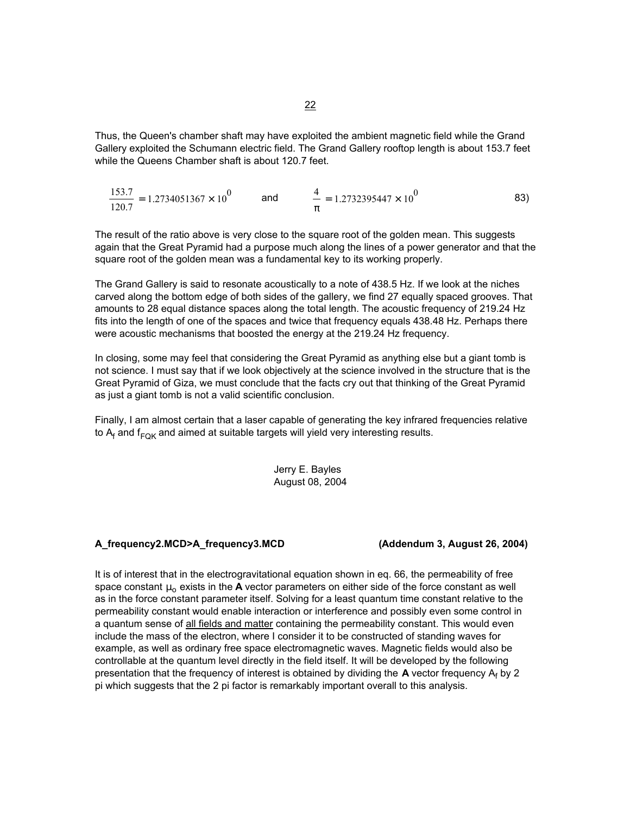Thus, the Queen's chamber shaft may have exploited the ambient magnetic field while the Grand Gallery exploited the Schumann electric field. The Grand Gallery rooftop length is about 153.7 feet while the Queens Chamber shaft is about 120.7 feet.

$$
\frac{153.7}{120.7} = 1.2734051367 \times 10^{0}
$$
 and 
$$
\frac{4}{\pi} = 1.2732395447 \times 10^{0}
$$
 83)

The result of the ratio above is very close to the square root of the golden mean. This suggests again that the Great Pyramid had a purpose much along the lines of a power generator and that the square root of the golden mean was a fundamental key to its working properly.

The Grand Gallery is said to resonate acoustically to a note of 438.5 Hz. If we look at the niches carved along the bottom edge of both sides of the gallery, we find 27 equally spaced grooves. That amounts to 28 equal distance spaces along the total length. The acoustic frequency of 219.24 Hz fits into the length of one of the spaces and twice that frequency equals 438.48 Hz. Perhaps there were acoustic mechanisms that boosted the energy at the 219.24 Hz frequency.

In closing, some may feel that considering the Great Pyramid as anything else but a giant tomb is not science. I must say that if we look objectively at the science involved in the structure that is the Great Pyramid of Giza, we must conclude that the facts cry out that thinking of the Great Pyramid as just a giant tomb is not a valid scientific conclusion.

Finally, I am almost certain that a laser capable of generating the key infrared frequencies relative to A<sub>f</sub> and f<sub>FQK</sub> and aimed at suitable targets will yield very interesting results.

> Jerry E. Bayles August 08, 2004

## **A\_frequency2.MCD>A\_frequency3.MCD (Addendum 3, August 26, 2004)**

It is of interest that in the electrogravitational equation shown in eq. 66, the permeability of free space constant  $\mu_0$  exists in the **A** vector parameters on either side of the force constant as well as in the force constant parameter itself. Solving for a least quantum time constant relative to the permeability constant would enable interaction or interference and possibly even some control in a quantum sense of all fields and matter containing the permeability constant. This would even include the mass of the electron, where I consider it to be constructed of standing waves for example, as well as ordinary free space electromagnetic waves. Magnetic fields would also be controllable at the quantum level directly in the field itself. It will be developed by the following presentation that the frequency of interest is obtained by dividing the **A** vector frequency A<sub>f</sub> by 2 pi which suggests that the 2 pi factor is remarkably important overall to this analysis.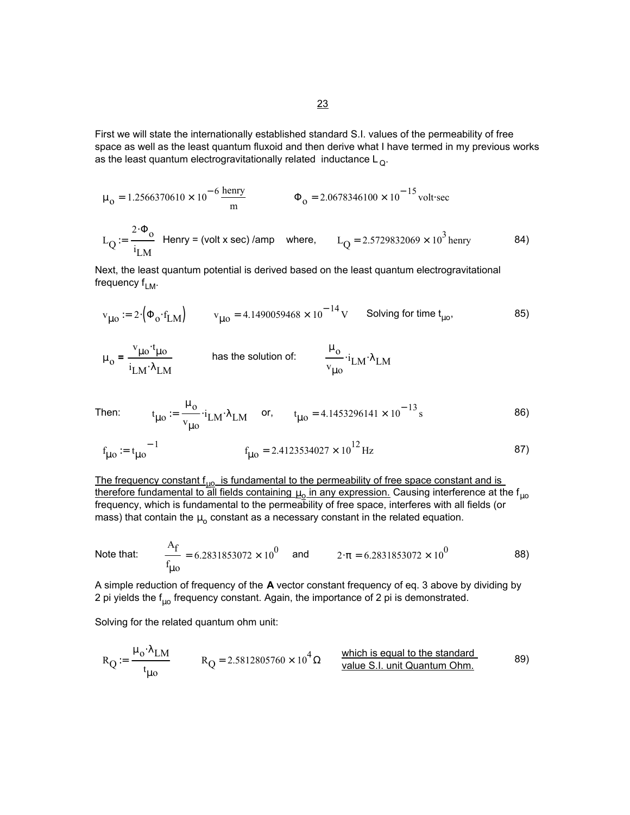First we will state the internationally established standard S.I. values of the permeability of free space as well as the least quantum fluxoid and then derive what I have termed in my previous works as the least quantum electrogravitationally related inductance  $\mathsf{L}_{\mathsf{Q}}$ .

$$
\mu_0 = 1.2566370610 \times 10^{-6} \frac{\text{herry}}{\text{m}}
$$
\n
$$
\Phi_0 = 2.0678346100 \times 10^{-15} \text{volt} \cdot \text{sec}
$$
\n
$$
L_Q := \frac{2 \cdot \Phi_0}{i_{LM}} \text{ Henry} = \text{(volt x sec) /amp where, } L_Q = 2.5729832069 \times 10^3 \text{ henry}
$$
\n84)

Next, the least quantum potential is derived based on the least quantum electrogravitational frequency  $f_{LM}$ .

$$
v_{\mu 0} := 2 \cdot \left( \Phi_0 \cdot f_{LM} \right) \qquad v_{\mu 0} = 4.1490059468 \times 10^{-14} \text{ V} \qquad \text{Solving for time } t_{\mu 0}, \tag{85}
$$

$$
\mu_0 = \frac{v_{\mu 0} \cdot t_{\mu 0}}{i_{\text{LM}} \cdot \lambda_{\text{LM}}}
$$
 has the solution of: 
$$
\frac{\mu_0}{v_{\mu 0}} \cdot i_{\text{LM}} \cdot \lambda_{\text{LM}}
$$

Then: 
$$
t_{\mu o} := \frac{\mu_o}{v_{\mu o}} \cdot i_{LM} \cdot \lambda_{LM}
$$
 or,  $t_{\mu o} = 4.1453296141 \times 10^{-13} s$  86)

$$
f_{\mu 0} := t_{\mu 0}^{-1}
$$
  $f_{\mu 0} = 2.4123534027 \times 10^{12} \text{ Hz}$  (87)

The frequency constant  $f_{\mu 0}$  is fundamental to the permeability of free space constant and is therefore fundamental to all fields containing  $\mu_\text{o}$  in any expression. Causing interference at the f<sub>µo</sub> frequency, which is fundamental to the permeability of free space, interferes with all fields (or mass) that contain the  $\mu_0$  constant as a necessary constant in the related equation.

Note that: 
$$
\frac{A_f}{f_{\mu o}} = 6.2831853072 \times 10^0
$$
 and  $2 \cdot \pi = 6.2831853072 \times 10^0$  88)

A simple reduction of frequency of the **A** vector constant frequency of eq. 3 above by dividing by 2 pi yields the  $f_{10}$  frequency constant. Again, the importance of 2 pi is demonstrated.

Solving for the related quantum ohm unit:

$$
R_{Q} := \frac{\mu_0 \cdot \lambda_{LM}}{t_{\mu o}} \qquad R_{Q} = 2.5812805760 \times 10^4 \,\Omega \qquad \frac{\text{which is equal to the standard}}{\text{value S.I. unit Quantum Ohm.}} \tag{89}
$$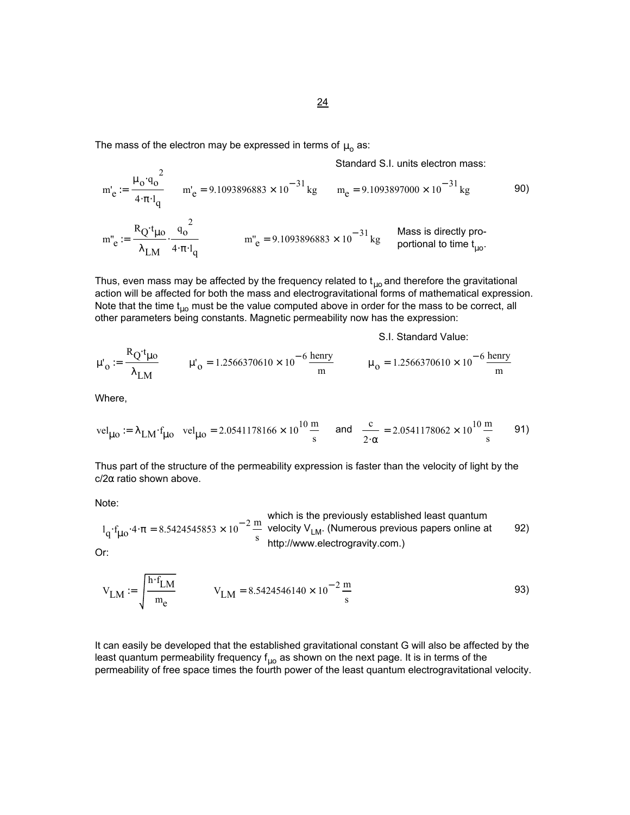The mass of the electron may be expressed in terms of  $\mu_0$  as:

Standard S.I. units electron mass:

$$
m'_{e} := \frac{\mu_{0} q_{0}^{2}}{4 \cdot \pi \cdot l_{q}} \qquad m'_{e} = 9.1093896883 \times 10^{-31} \text{ kg} \qquad m_{e} = 9.1093897000 \times 10^{-31} \text{ kg} \qquad \qquad 90)
$$
  

$$
m''_{e} := \frac{R_{Q} t_{\mu 0}}{\lambda_{LM} \cdot 4 \cdot \pi \cdot l_{q}} \qquad m''_{e} = 9.1093896883 \times 10^{-31} \text{ kg} \qquad \qquad 90
$$
  

$$
m''_{e} = 9.1093896883 \times 10^{-31} \text{ kg} \qquad \qquad \text{Mass is directly pro-portional to time } t_{\mu 0}.
$$

Thus, even mass may be affected by the frequency related to  $t_{\mu o}$  and therefore the gravitational action will be affected for both the mass and electrogravitational forms of mathematical expression. Note that the time  $t_{\mu 0}$  must be the value computed above in order for the mass to be correct, all other parameters being constants. Magnetic permeability now has the expression:

S.I. Standard Value:

$$
\mu'_{o} := \frac{R_{Q} t_{\mu o}}{\lambda_{LM}} \qquad \mu'_{o} = 1.2566370610 \times 10^{-6} \frac{\text{henry}}{\text{m}} \qquad \mu_{o} = 1.2566370610 \times 10^{-6} \frac{\text{henry}}{\text{m}}
$$

Where,

 $R_{\rm B}$ 

$$
vel_{\mu o} := \lambda_{LM} \cdot f_{\mu o} \quad vel_{\mu o} = 2.0541178166 \times 10^{10} \frac{m}{s} \quad \text{and} \quad \frac{c}{2 \cdot \alpha} = 2.0541178062 \times 10^{10} \frac{m}{s} \qquad 91)
$$

Thus part of the structure of the permeability expression is faster than the velocity of light by the  $c/2\alpha$  ratio shown above.

Note:

which is the previously established least quantum  
\n
$$
l_q \cdot f_{\mu o} \cdot 4 \cdot \pi = 8.5424545853 \times 10^{-2} \frac{m}{s}
$$
 velocity  $V_{LM}$ . (Numerous previous papers online at  $92$ )

Or:

$$
V_{LM} := \sqrt{\frac{h \cdot f_{LM}}{m_e}} \qquad V_{LM} = 8.5424546140 \times 10^{-2} \frac{m}{s}
$$

It can easily be developed that the established gravitational constant G will also be affected by the least quantum permeability frequency  $f_{\mu o}$  as shown on the next page. It is in terms of the permeability of free space times the fourth power of the least quantum electrogravitational velocity.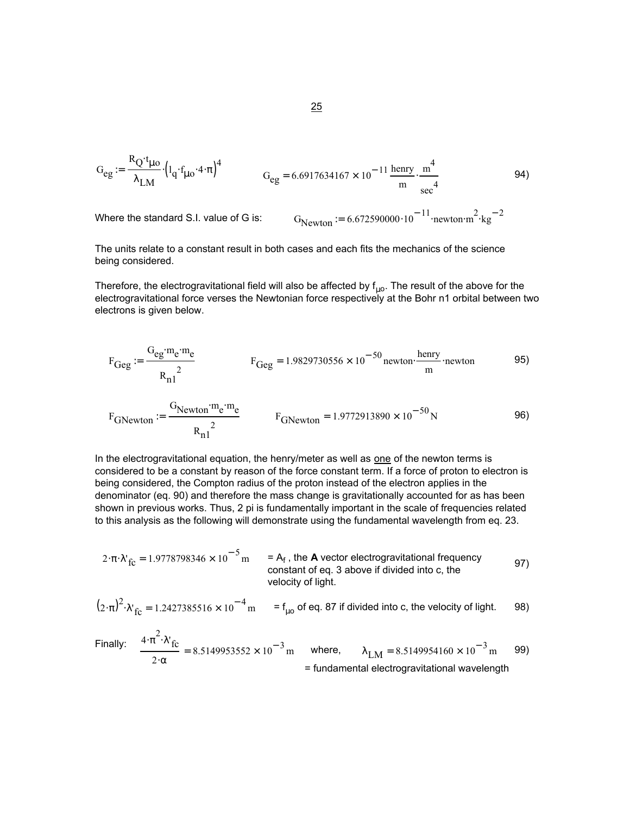$$
G_{eg} := \frac{R_{Q} \cdot t_{\mu o}}{\lambda_{LM}} \cdot \left( l_{q} \cdot f_{\mu o} \cdot 4 \cdot \pi \right)^{4}
$$
\n
$$
G_{eg} = 6.6917634167 \times 10^{-11} \frac{\text{henry}}{\text{m}} \cdot \frac{\text{m}^{4}}{\text{sec}^{4}}
$$
\n
$$
\tag{94}
$$

Where the standard S.I. value of G is:  $\sqrt{a}$ 

$$
G_{Newton} = 6.672590000 \cdot 10^{-11} \cdot \text{newton} \cdot \text{m}^2 \cdot \text{kg}^{-2}
$$

The units relate to a constant result in both cases and each fits the mechanics of the science being considered.

Therefore, the electrogravitational field will also be affected by  $f_{\mu o}$ . The result of the above for the electrogravitational force verses the Newtonian force respectively at the Bohr n1 orbital between two electrons is given below.

$$
F_{Geg} := \frac{G_{eg} \cdot m_e \cdot m_e}{R_{n1}^2}
$$
 
$$
F_{Geg} = 1.9829730556 \times 10^{-50} \text{ newton} \cdot \frac{\text{henry}}{\text{m}} \cdot \text{newton}
$$
 95)

$$
F_{\text{GNewton}} = \frac{G_{\text{Newton}} \cdot m_{\text{e}} \cdot m_{\text{e}}}{R_{\text{n1}}^2} \qquad F_{\text{GNewton}} = 1.9772913890 \times 10^{-50} \text{N} \tag{96}
$$

In the electrogravitational equation, the henry/meter as well as one of the newton terms is considered to be a constant by reason of the force constant term. If a force of proton to electron is being considered, the Compton radius of the proton instead of the electron applies in the denominator (eq. 90) and therefore the mass change is gravitationally accounted for as has been shown in previous works. Thus, 2 pi is fundamentally important in the scale of frequencies related to this analysis as the following will demonstrate using the fundamental wavelength from eq. 23.

$$
2 \cdot \pi \cdot \lambda'_{fc} = 1.9778798346 \times 10^{-5} \text{ m} = A_f, \text{ the } A \text{ vector electrogravitational frequency} \text{ constant of eq. 3 above if divided into c, the velocity of light.} \tag{97}
$$

$$
(2 \cdot \pi)^2 \cdot \lambda_{\text{fc}} = 1.2427385516 \times 10^{-4} \text{ m} = f_{\mu 0} \text{ of eq. 87 if divided into c, the velocity of light.}
$$

Finally: 
$$
\frac{4 \cdot \pi^2 \cdot \lambda'_{\text{fc}}}{2 \cdot \alpha} = 8.5149953552 \times 10^{-3} \text{ m}
$$
 where, 
$$
\lambda_{\text{LM}} = 8.5149954160 \times 10^{-3} \text{ m}
$$
 99)  
= fundamental electrogravitational wavelength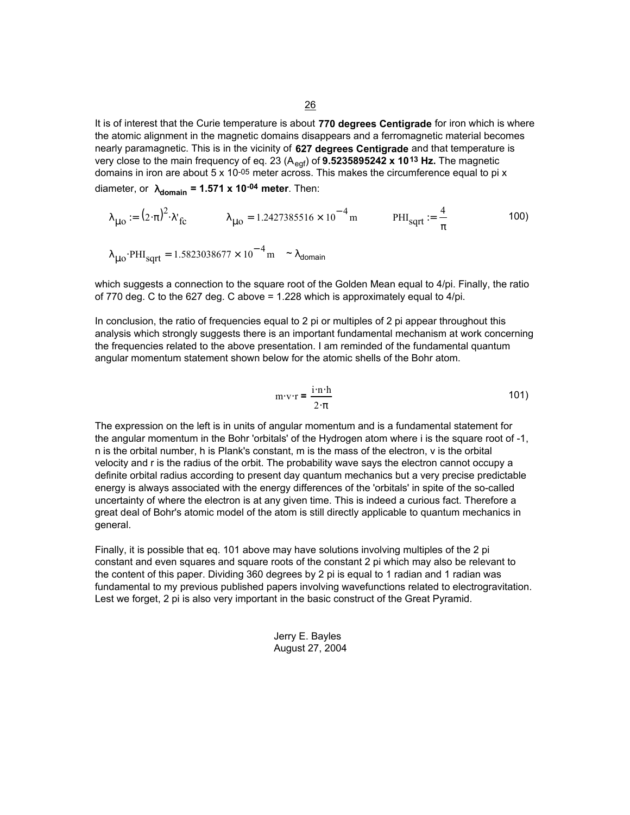It is of interest that the Curie temperature is about **770 degrees Centigrade** for iron which is where the atomic alignment in the magnetic domains disappears and a ferromagnetic material becomes nearly paramagnetic. This is in the vicinity of **627 degrees Centigrade** and that temperature is very close to the main frequency of eq. 23 (A<sub>eqf</sub>) of **9.5235895242 x 10<sup>13</sup> Hz.** The magnetic domains in iron are about  $5 \times 10^{-05}$  meter across. This makes the circumference equal to pi x diameter, or  $\lambda_{domain} = 1.571 \times 10^{-04}$  meter. Then:

$$
\lambda_{\mu o} := (2 \cdot \pi)^2 \cdot \lambda_{\text{fc}} \qquad \lambda_{\mu o} = 1.2427385516 \times 10^{-4} \,\text{m} \qquad \text{PHI}_{\text{sqrt}} := \frac{4}{\pi} \qquad \qquad \text{100}
$$
\n
$$
\lambda_{\mu o} \cdot \text{PHI}_{\text{sqrt}} = 1.5823038677 \times 10^{-4} \,\text{m} \qquad \lambda_{\text{domain}}
$$

which suggests a connection to the square root of the Golden Mean equal to 4/pi. Finally, the ratio of 770 deg. C to the 627 deg. C above  $= 1.228$  which is approximately equal to  $4$ /pi.

In conclusion, the ratio of frequencies equal to 2 pi or multiples of 2 pi appear throughout this analysis which strongly suggests there is an important fundamental mechanism at work concerning the frequencies related to the above presentation. I am reminded of the fundamental quantum angular momentum statement shown below for the atomic shells of the Bohr atom.

$$
m \cdot v \cdot r = \frac{i \cdot n \cdot h}{2 \cdot \pi} \tag{101}
$$

The expression on the left is in units of angular momentum and is a fundamental statement for the angular momentum in the Bohr 'orbitals' of the Hydrogen atom where i is the square root of -1, n is the orbital number, h is Plank's constant, m is the mass of the electron, v is the orbital velocity and r is the radius of the orbit. The probability wave says the electron cannot occupy a definite orbital radius according to present day quantum mechanics but a very precise predictable energy is always associated with the energy differences of the 'orbitals' in spite of the so-called uncertainty of where the electron is at any given time. This is indeed a curious fact. Therefore a great deal of Bohr's atomic model of the atom is still directly applicable to quantum mechanics in general.

Finally, it is possible that eq. 101 above may have solutions involving multiples of the 2 pi constant and even squares and square roots of the constant 2 pi which may also be relevant to the content of this paper. Dividing 360 degrees by 2 pi is equal to 1 radian and 1 radian was fundamental to my previous published papers involving wavefunctions related to electrogravitation. Lest we forget, 2 pi is also very important in the basic construct of the Great Pyramid.

> Jerry E. Bayles August 27, 2004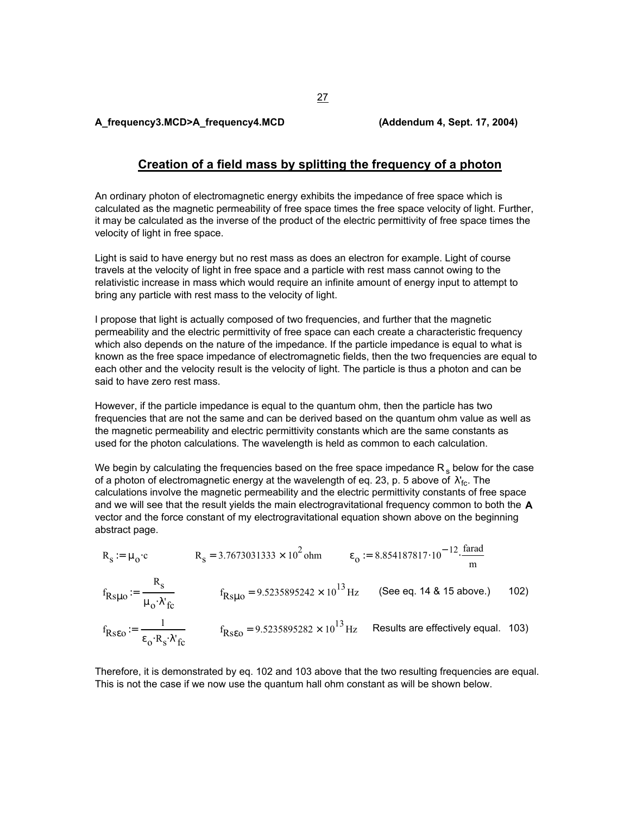**A\_frequency3.MCD>A\_frequency4.MCD (Addendum 4, Sept. 17, 2004)**

# **Creation of a field mass by splitting the frequency of a photon**

An ordinary photon of electromagnetic energy exhibits the impedance of free space which is calculated as the magnetic permeability of free space times the free space velocity of light. Further, it may be calculated as the inverse of the product of the electric permittivity of free space times the velocity of light in free space.

Light is said to have energy but no rest mass as does an electron for example. Light of course travels at the velocity of light in free space and a particle with rest mass cannot owing to the relativistic increase in mass which would require an infinite amount of energy input to attempt to bring any particle with rest mass to the velocity of light.

I propose that light is actually composed of two frequencies, and further that the magnetic permeability and the electric permittivity of free space can each create a characteristic frequency which also depends on the nature of the impedance. If the particle impedance is equal to what is known as the free space impedance of electromagnetic fields, then the two frequencies are equal to each other and the velocity result is the velocity of light. The particle is thus a photon and can be said to have zero rest mass.

However, if the particle impedance is equal to the quantum ohm, then the particle has two frequencies that are not the same and can be derived based on the quantum ohm value as well as the magnetic permeability and electric permittivity constants which are the same constants as used for the photon calculations. The wavelength is held as common to each calculation.

We begin by calculating the frequencies based on the free space impedance  $R_s$  below for the case of a photon of electromagnetic energy at the wavelength of eq. 23, p. 5 above of  $\,\lambda'_{\rm fc}.$  The calculations involve the magnetic permeability and the electric permittivity constants of free space and we will see that the result yields the main electrogravitational frequency common to both the **A** vector and the force constant of my electrogravitational equation shown above on the beginning abstract page.

$$
R_s := \mu_0 \cdot c
$$
  $R_s = 3.7673031333 \times 10^2 \text{ ohm}$   $\epsilon_0 := 8.854187817 \cdot 10^{-12} \cdot \frac{\text{farad}}{\text{m}}$ 

$$
f_{Rs\mu o} := \frac{R_s}{\mu_o \cdot \lambda'_{fc}}
$$
  $f_{Rs\mu o} = 9.5235895242 \times 10^{13} \text{ Hz}$  (See eq. 14 & 15 above.) 102)

$$
f_{\text{Rseo}} := \frac{1}{\epsilon_0 \cdot R_s \cdot \lambda'_{\text{fc}}}
$$
  $f_{\text{Rseo}} = 9.5235895282 \times 10^{13} \text{ Hz}$  Results are effectively equal. 103)

Therefore, it is demonstrated by eq. 102 and 103 above that the two resulting frequencies are equal. This is not the case if we now use the quantum hall ohm constant as will be shown below.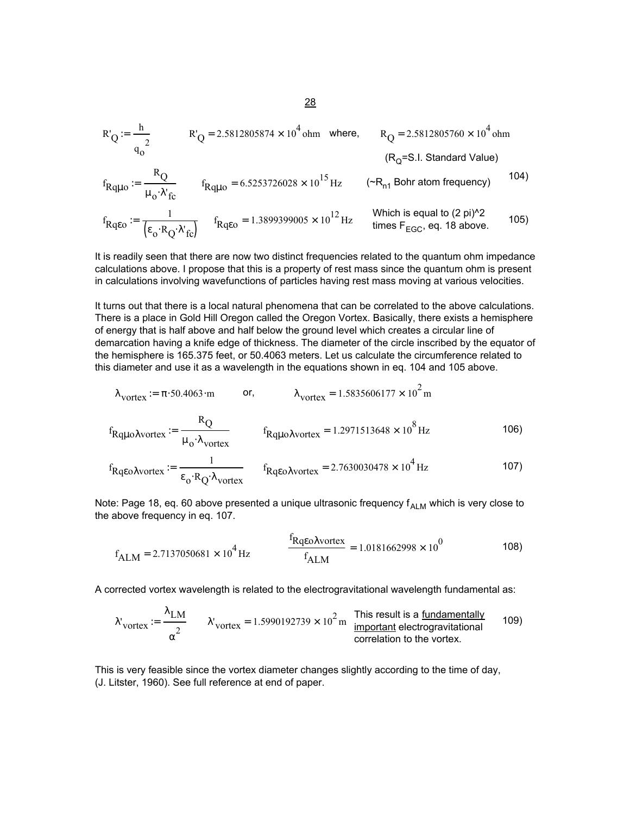$$
R'_{Q} := \frac{h}{q_{0}^{2}}
$$
  $R'_{Q} = 2.5812805874 \times 10^{4} \text{ ohm} \text{ where, } R_{Q} = 2.5812805760 \times 10^{4} \text{ ohm}$   
(R<sub>Q</sub>=S.I. Standard Value)

$$
f_{\text{Rq}\mu\text{o}} := \frac{R_{\text{Q}}}{\mu_{\text{o}} \cdot \lambda'_{\text{fc}}} \qquad f_{\text{Rq}\mu\text{o}} = 6.5253726028 \times 10^{15} \text{ Hz} \qquad (\sim R_{\text{n1}} \text{ Bohr atom frequency}) \qquad (104)
$$

$$
f_{Rq\epsilon o} := \frac{1}{\left(\epsilon_o \cdot R_Q \cdot \lambda'_{fc}\right)} \qquad f_{Rq\epsilon o} = 1.3899399005 \times 10^{12} \text{ Hz} \qquad \text{Which is equal to (2 pi)^22} \qquad \text{times } F_{EGC}, \text{ eq. 18 above.}
$$

It is readily seen that there are now two distinct frequencies related to the quantum ohm impedance calculations above. I propose that this is a property of rest mass since the quantum ohm is present in calculations involving wavefunctions of particles having rest mass moving at various velocities.

It turns out that there is a local natural phenomena that can be correlated to the above calculations. There is a place in Gold Hill Oregon called the Oregon Vortex. Basically, there exists a hemisphere of energy that is half above and half below the ground level which creates a circular line of demarcation having a knife edge of thickness. The diameter of the circle inscribed by the equator of the hemisphere is 165.375 feet, or 50.4063 meters. Let us calculate the circumference related to this diameter and use it as a wavelength in the equations shown in eq. 104 and 105 above.

$$
\lambda_{\text{vortex}} := \pi \cdot 50.4063 \cdot \text{m} \qquad \text{or,} \qquad \lambda_{\text{vortex}} = 1.5835606177 \times 10^2 \text{ m}
$$
  
\n
$$
f_{\text{Rq} \mu \text{o} \lambda \text{vortex}} := \frac{R_{\text{Q}}}{\mu_{\text{o}} \cdot \lambda_{\text{vortex}}} \qquad f_{\text{Rq} \mu \text{o} \lambda \text{vortex}} = 1.2971513648 \times 10^8 \text{ Hz} \qquad \text{106}
$$

$$
f_{\text{RqeoAvortex}} := \frac{1}{\epsilon_0 \cdot \text{R}_\text{Q} \cdot \lambda_{\text{vortex}}} \qquad f_{\text{RqeoAvortex}} = 2.7630030478 \times 10^4 \text{ Hz}
$$

Note: Page 18, eq. 60 above presented a unique ultrasonic frequency  $f_{ALM}$  which is very close to the above frequency in eq. 107.

$$
f_{\text{ALM}} = 2.7137050681 \times 10^4 \text{ Hz}
$$
 
$$
\frac{f_{\text{RqeoAvortex}}}{f_{\text{ALM}}} = 1.0181662998 \times 10^0
$$
 108)

A corrected vortex wavelength is related to the electrogravitational wavelength fundamental as:

$$
\lambda'_{\text{vortex}} := \frac{\lambda_{\text{LM}}}{\alpha^2} \qquad \lambda'_{\text{vortex}} = 1.5990192739 \times 10^2 \text{ m} \qquad \frac{\text{This result is a fundamentaly}}{\text{important, electromagnetic}}} \qquad \text{109}
$$
\n
$$
\text{correlation to the vortex.}
$$

This is very feasible since the vortex diameter changes slightly according to the time of day, (J. Litster, 1960). See full reference at end of paper.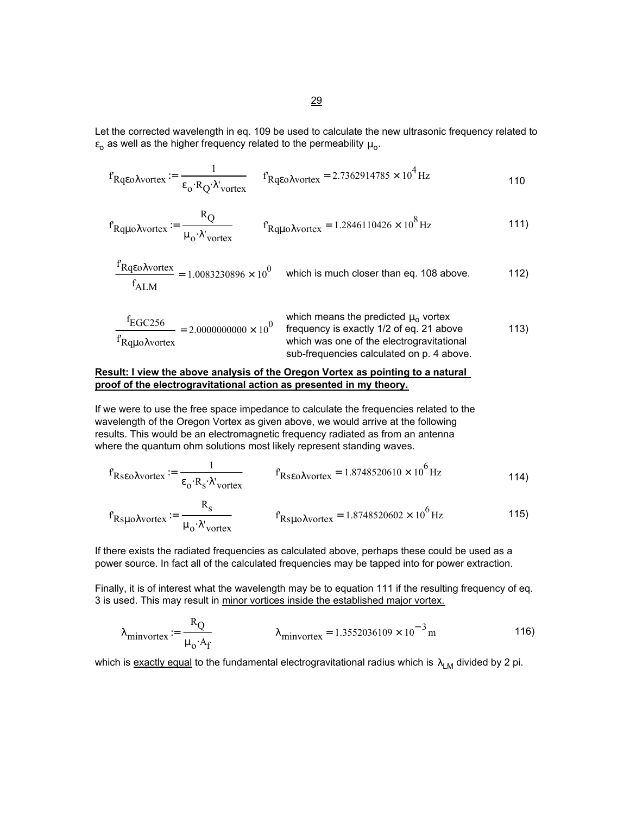Let the corrected wavelength in eq. 109 be used to calculate the new ultrasonic frequency related to  $\varepsilon_0$  as well as the higher frequency related to the permeability  $\mu_0$ .

$$
f_{\text{RqeoAvortex}} := \frac{1}{\epsilon_0 \cdot R_Q \lambda' \text{vortex}}
$$
  $f_{\text{RqeoAvortex}} = 2.7362914785 \times 10^4 \text{ Hz}$  110

$$
f_{\text{RqpoAvortex}} := \frac{R_{\text{Q}}}{\mu_{\text{o}} \cdot \lambda'_{\text{vortex}}} \qquad f_{\text{RqpoAvortex}} = 1.2846110426 \times 10^8 \,\text{Hz}
$$

$$
\frac{f_{Rqeo\lambda vortex}}{f_{ALM}} = 1.0083230896 \times 10^0
$$
 which is much closer than eq. 108 above.

$$
\frac{f_{EGC256}}{f_{Rq\mu o\lambda vortex}} = 2.00000000000 \times 10^{0}
$$
 which means the predicted  $\mu_o$  vortex  
frequency is exactly 1/2 of eq. 21 above  
which was one of the electrogravitational  
sub-frequency is calculated on p. 4 above.

### **Result: I view the above analysis of the Oregon Vortex as pointing to a natural proof of the electrogravitational action as presented in my theory.**

If we were to use the free space impedance to calculate the frequencies related to the wavelength of the Oregon Vortex as given above, we would arrive at the following results. This would be an electromagnetic frequency radiated as from an antenna where the quantum ohm solutions most likely represent standing waves.

$$
f_{\text{RseoAvortex}} := \frac{1}{\epsilon_0 \cdot R_s \cdot \lambda'_{\text{vortex}}} \qquad f_{\text{RseoAvortex}} = 1.8748520610 \times 10^6 \,\text{Hz}
$$

$$
f_{\text{RspoAvortex}} := \frac{\kappa_{\text{s}}}{\mu_{\text{o}} \cdot \lambda'_{\text{vortex}}} \qquad f_{\text{RspoAvortex}} = 1.8748520602 \times 10^6 \,\text{Hz}
$$

If there exists the radiated frequencies as calculated above, perhaps these could be used as a power source. In fact all of the calculated frequencies may be tapped into for power extraction.

Finally, it is of interest what the wavelength may be to equation 111 if the resulting frequency of eq. 3 is used. This may result in minor vortices inside the established major vortex.

$$
\lambda_{\text{minvortex}} \coloneqq \frac{R_Q}{\mu_0 \cdot A_f} \qquad \lambda_{\text{minvortex}} = 1.3552036109 \times 10^{-3} \,\text{m} \tag{116}
$$

which is exactly equal to the fundamental electrogravitational radius which is  $\lambda_{LM}$  divided by 2 pi.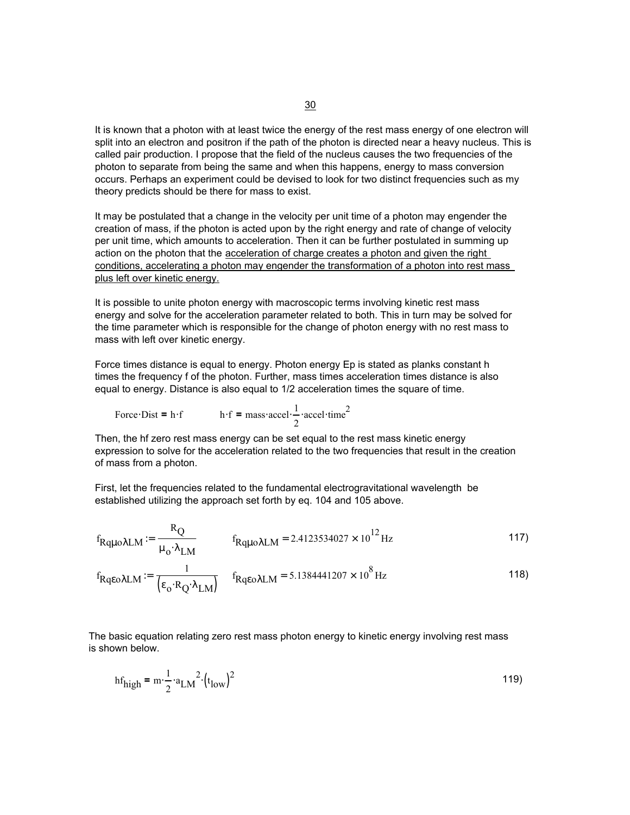It is known that a photon with at least twice the energy of the rest mass energy of one electron will split into an electron and positron if the path of the photon is directed near a heavy nucleus. This is called pair production. I propose that the field of the nucleus causes the two frequencies of the photon to separate from being the same and when this happens, energy to mass conversion occurs. Perhaps an experiment could be devised to look for two distinct frequencies such as my theory predicts should be there for mass to exist.

It may be postulated that a change in the velocity per unit time of a photon may engender the creation of mass, if the photon is acted upon by the right energy and rate of change of velocity per unit time, which amounts to acceleration. Then it can be further postulated in summing up action on the photon that the acceleration of charge creates a photon and given the right conditions, accelerating a photon may engender the transformation of a photon into rest mass plus left over kinetic energy.

It is possible to unite photon energy with macroscopic terms involving kinetic rest mass energy and solve for the acceleration parameter related to both. This in turn may be solved for the time parameter which is responsible for the change of photon energy with no rest mass to mass with left over kinetic energy.

Force times distance is equal to energy. Photon energy Ep is stated as planks constant h times the frequency f of the photon. Further, mass times acceleration times distance is also equal to energy. Distance is also equal to 1/2 acceleration times the square of time.

Force Dist = h·f 
$$
h \cdot f = \text{mass-accel} \cdot \frac{1}{2} \cdot \text{accel-time}^2
$$

Then, the hf zero rest mass energy can be set equal to the rest mass kinetic energy expression to solve for the acceleration related to the two frequencies that result in the creation of mass from a photon.

First, let the frequencies related to the fundamental electrogravitational wavelength be established utilizing the approach set forth by eq. 104 and 105 above.

$$
f_{\text{Rquo\lambda LM}} := \frac{R_{\text{Q}}}{\mu_{\text{o}} \cdot \lambda_{\text{LM}}} \qquad f_{\text{Rquo\lambda LM}} = 2.4123534027 \times 10^{12} \,\text{Hz} \tag{117}
$$

$$
f_{\text{Rqeo}\lambda\text{LM}} := \frac{1}{\left(\epsilon_{\text{o}} \cdot \text{R}_{\text{Q}} \cdot \lambda_{\text{LM}}\right)} \quad f_{\text{Rqeo}\lambda\text{LM}} = 5.1384441207 \times 10^8 \,\text{Hz}
$$

The basic equation relating zero rest mass photon energy to kinetic energy involving rest mass is shown below.

$$
hf_{\text{high}} = m \cdot \frac{1}{2} \cdot a_{\text{LM}}^2 \cdot \left(t_{\text{low}}\right)^2
$$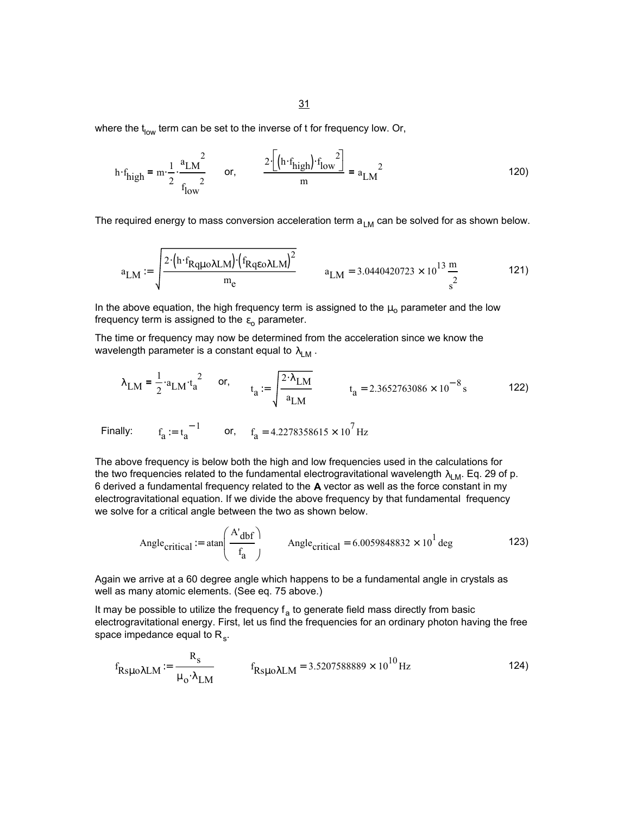31

where the  $t_{low}$  term can be set to the inverse of t for frequency low. Or,

$$
h \cdot f_{\text{high}} = m \cdot \frac{1}{2} \cdot \frac{a_{\text{LM}}^2}{f_{\text{low}}^2}
$$
 or,  $\frac{2 \cdot [(h \cdot f_{\text{high}}) \cdot f_{\text{low}}^2]}{m} = a_{\text{LM}}^2$  (120)

The required energy to mass conversion acceleration term  $a_{LM}$  can be solved for as shown below.

$$
a_{LM} := \sqrt{\frac{2 \cdot (h \cdot f_{Rq\mu o \lambda LM}) \cdot (f_{Rq\epsilon o \lambda LM})^2}{m_e}}
$$
  $a_{LM} = 3.0440420723 \times 10^{13} \frac{m}{s^2}$  (121)

In the above equation, the high frequency term is assigned to the  $\mu_0$  parameter and the low frequency term is assigned to the  $\varepsilon_0$  parameter.

The time or frequency may now be determined from the acceleration since we know the wavelength parameter is a constant equal to  $\lambda_{LM}$ .

$$
\lambda_{LM} = \frac{1}{2} \cdot a_{LM} \cdot t_a^2
$$
 or,  $t_a := \sqrt{\frac{2 \cdot \lambda_{LM}}{a_{LM}}}$   $t_a = 2.3652763086 \times 10^{-8} s$  122)

Finally:  $f_a := t_a^{-1}$  or,  $f_a = 4.2278358615 \times 10^7$  Hz

The above frequency is below both the high and low frequencies used in the calculations for the two frequencies related to the fundamental electrogravitational wavelength  $\lambda_{LM}$ . Eq. 29 of p. 6 derived a fundamental frequency related to the **A** vector as well as the force constant in my electrogravitational equation. If we divide the above frequency by that fundamental frequency we solve for a critical angle between the two as shown below.

Angle<sub>critical</sub> := 
$$
\text{atan}\left(\frac{A' \text{dbf}}{f_a}\right)
$$
 Angle<sub>critical</sub> = 6.0059848832 × 10<sup>1</sup> deg\n  
\n123)

Again we arrive at a 60 degree angle which happens to be a fundamental angle in crystals as well as many atomic elements. (See eq. 75 above.)

It may be possible to utilize the frequency  $f_a$  to generate field mass directly from basic electrogravitational energy. First, let us find the frequencies for an ordinary photon having the free space impedance equal to  $R_{s}$ .

$$
f_{\text{R}\text{S}\mu\text{o}}\lambda\text{LM} := \frac{R_{\text{S}}}{\mu_{\text{o}} \cdot \lambda_{\text{LM}}} \qquad f_{\text{R}\text{S}\mu\text{o}}\lambda\text{LM} = 3.5207588889 \times 10^{10} \text{Hz}
$$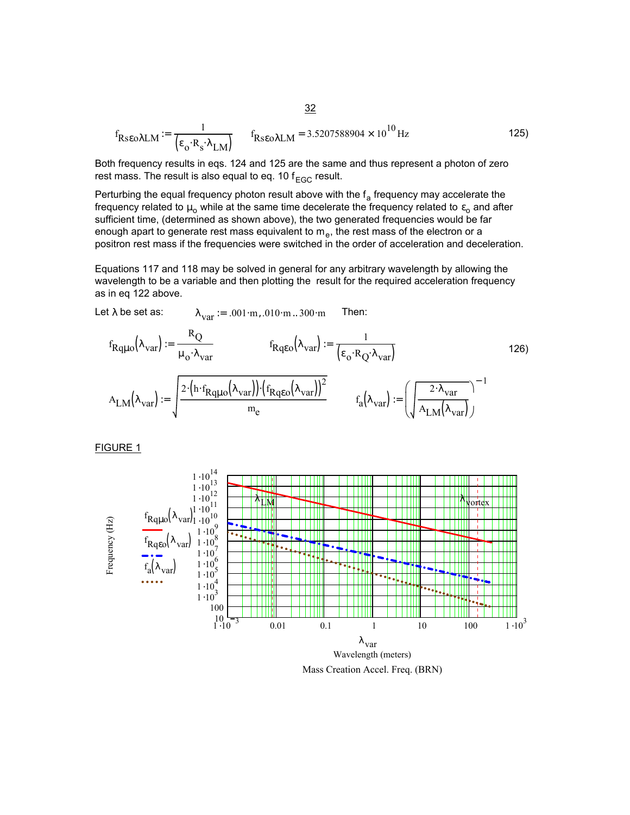$$
f_{\text{RseoALM}} := \frac{1}{\left(\epsilon_{\text{o}} \cdot \text{R}_{\text{s}} \cdot \lambda_{\text{LM}}\right)} \qquad f_{\text{RseoALM}} = 3.5207588904 \times 10^{10} \,\text{Hz}
$$

Both frequency results in eqs. 124 and 125 are the same and thus represent a photon of zero rest mass. The result is also equal to eq. 10  $f_{EGC}$  result.

Perturbing the equal frequency photon result above with the  $f_a$  frequency may accelerate the frequency related to  $\mu_0$  while at the same time decelerate the frequency related to  $\varepsilon_0$  and after sufficient time, (determined as shown above), the two generated frequencies would be far enough apart to generate rest mass equivalent to  $m_e$ , the rest mass of the electron or a positron rest mass if the frequencies were switched in the order of acceleration and deceleration.

Equations 117 and 118 may be solved in general for any arbitrary wavelength by allowing the wavelength to be a variable and then plotting the result for the required acceleration frequency as in eq 122 above.

Let 
$$
\lambda
$$
 be set as:  $\lambda_{var} := .001 \cdot m, .010 \cdot m, .300 \cdot m$  Then:

$$
f_{Rq\mu o}(\lambda_{var}) := \frac{R_Q}{\mu_o \cdot \lambda_{var}} \qquad f_{Rq\epsilon o}(\lambda_{var}) := \frac{1}{(\epsilon_o \cdot R_Q \cdot \lambda_{var})} \qquad (126)
$$
  

$$
A_{LM}(\lambda_{var}) := \sqrt{\frac{2 \cdot (h \cdot f_{Rq\mu o}(\lambda_{var})) \cdot (f_{Rq\epsilon o}(\lambda_{var}))^2}{m_e} \qquad f_a(\lambda_{var}) := \left(\sqrt{\frac{2 \cdot \lambda_{var}}{A_{LM}(\lambda_{var})}}\right)^{-1}
$$

FIGURE 1

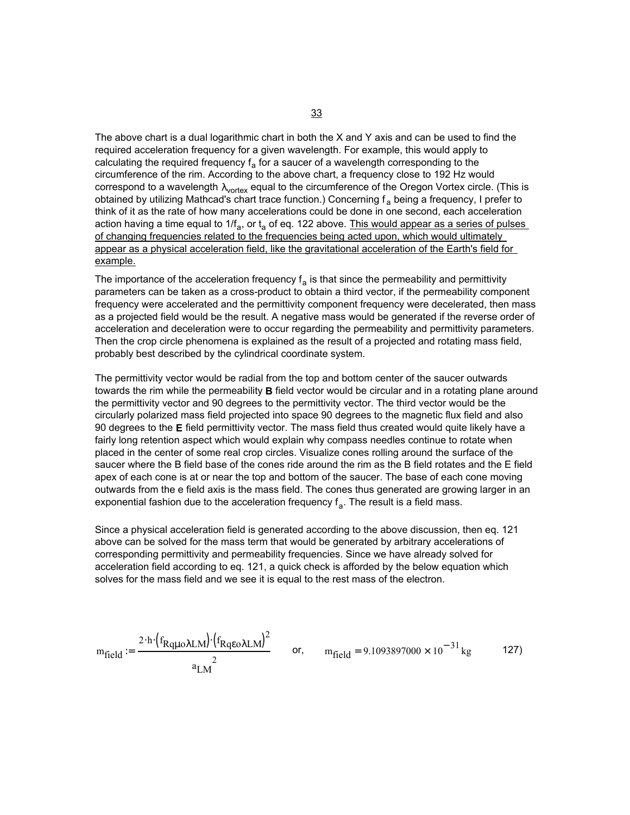The above chart is a dual logarithmic chart in both the X and Y axis and can be used to find the required acceleration frequency for a given wavelength. For example, this would apply to calculating the required frequency  $f_a$  for a saucer of a wavelength corresponding to the circumference of the rim. According to the above chart, a frequency close to 192 Hz would correspond to a wavelength  $\lambda_{\text{vortex}}$  equal to the circumference of the Oregon Vortex circle. (This is obtained by utilizing Mathcad's chart trace function.) Concerning  $f_a$  being a frequency, I prefer to think of it as the rate of how many accelerations could be done in one second, each acceleration action having a time equal to  $1/f_a$ , or  $t_a$  of eq. 122 above. This would appear as a series of pulses of changing frequencies related to the frequencies being acted upon, which would ultimately appear as a physical acceleration field, like the gravitational acceleration of the Earth's field for example.

The importance of the acceleration frequency  $f_a$  is that since the permeability and permittivity parameters can be taken as a cross-product to obtain a third vector, if the permeability component frequency were accelerated and the permittivity component frequency were decelerated, then mass as a projected field would be the result. A negative mass would be generated if the reverse order of acceleration and deceleration were to occur regarding the permeability and permittivity parameters. Then the crop circle phenomena is explained as the result of a projected and rotating mass field, probably best described by the cylindrical coordinate system.

The permittivity vector would be radial from the top and bottom center of the saucer outwards towards the rim while the permeability **B** field vector would be circular and in a rotating plane around the permittivity vector and 90 degrees to the permittivity vector. The third vector would be the circularly polarized mass field projected into space 90 degrees to the magnetic flux field and also 90 degrees to the **E** field permittivity vector. The mass field thus created would quite likely have a fairly long retention aspect which would explain why compass needles continue to rotate when placed in the center of some real crop circles. Visualize cones rolling around the surface of the saucer where the B field base of the cones ride around the rim as the B field rotates and the E field apex of each cone is at or near the top and bottom of the saucer. The base of each cone moving outwards from the e field axis is the mass field. The cones thus generated are growing larger in an exponential fashion due to the acceleration frequency  $f_a$ . The result is a field mass.

Since a physical acceleration field is generated according to the above discussion, then eq. 121 above can be solved for the mass term that would be generated by arbitrary accelerations of corresponding permittivity and permeability frequencies. Since we have already solved for acceleration field according to eq. 121, a quick check is afforded by the below equation which solves for the mass field and we see it is equal to the rest mass of the electron.

$$
m_{field} := \frac{2 \cdot h \cdot (f_{Rq\mu o \lambda LM}) \cdot (f_{Rq\epsilon o \lambda LM})^2}{2} \qquad \text{or,} \qquad m_{field} = 9.1093897000 \times 10^{-31} \text{ kg} \tag{127}
$$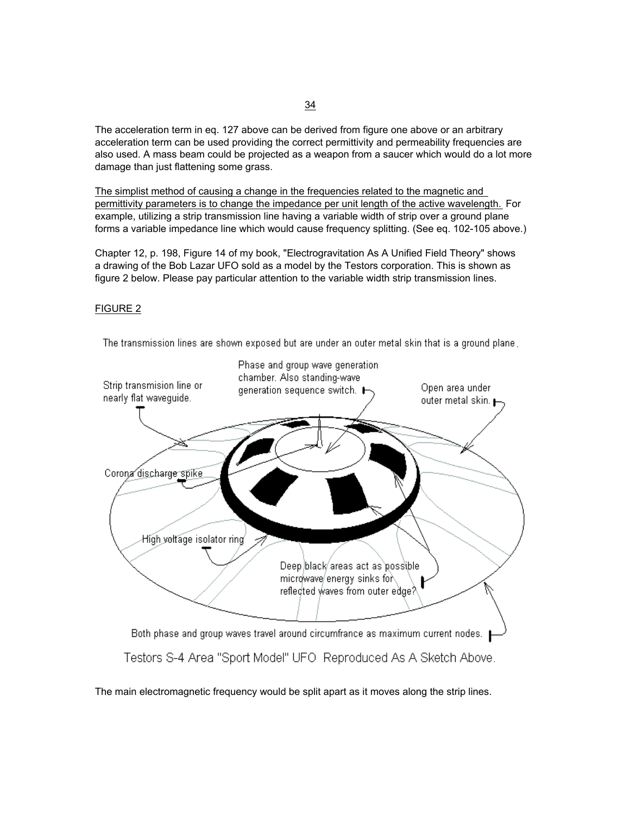The acceleration term in eq. 127 above can be derived from figure one above or an arbitrary acceleration term can be used providing the correct permittivity and permeability frequencies are also used. A mass beam could be projected as a weapon from a saucer which would do a lot more damage than just flattening some grass.

The simplist method of causing a change in the frequencies related to the magnetic and permittivity parameters is to change the impedance per unit length of the active wavelength. For example, utilizing a strip transmission line having a variable width of strip over a ground plane forms a variable impedance line which would cause frequency splitting. (See eq. 102-105 above.)

Chapter 12, p. 198, Figure 14 of my book, "Electrogravitation As A Unified Field Theory" shows a drawing of the Bob Lazar UFO sold as a model by the Testors corporation. This is shown as figure 2 below. Please pay particular attention to the variable width strip transmission lines.

### FIGURE 2

The transmission lines are shown exposed but are under an outer metal skin that is a ground plane.



The main electromagnetic frequency would be split apart as it moves along the strip lines.

### 34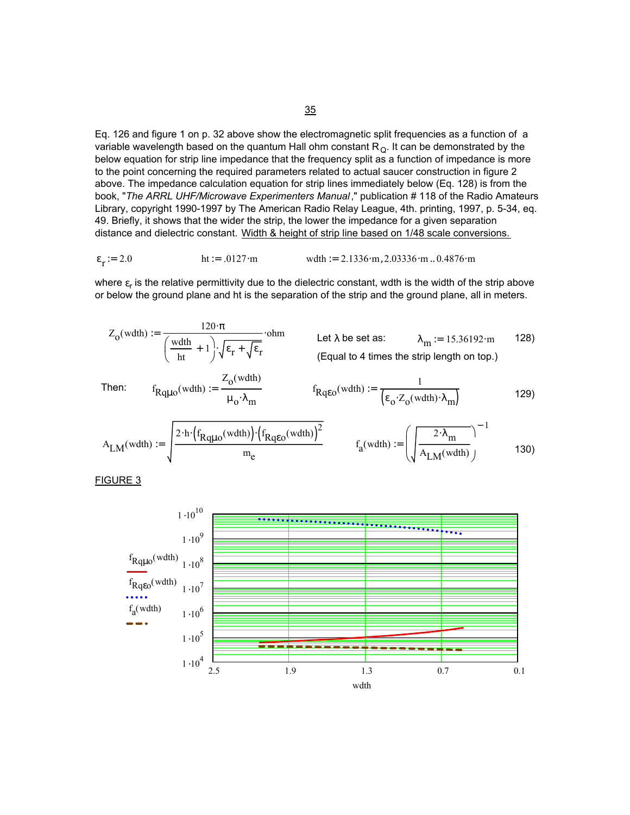Eq. 126 and figure 1 on p. 32 above show the electromagnetic split frequencies as a function of a variable wavelength based on the quantum Hall ohm constant  $R_{Q}$ . It can be demonstrated by the below equation for strip line impedance that the frequency split as a function of impedance is more to the point concerning the required parameters related to actual saucer construction in figure 2 above. The impedance calculation equation for strip lines immediately below (Eq. 128) is from the book, "*The ARRL UHF/Microwave Experimenters Manual*," publication # 118 of the Radio Amateurs Library, copyright 1990-1997 by The American Radio Relay League, 4th. printing, 1997, p. 5-34, eq. 49. Briefly, it shows that the wider the strip, the lower the impedance for a given separation distance and dielectric constant. Width & height of strip line based on 1/48 scale conversions.

$$
\varepsilon_r := 2.0
$$
   
ht := .0127·m   
with := 2.1336·m, 2.03336·m .. 0.4876·m

where  $\varepsilon_{\rm r}$  is the relative permittivity due to the dielectric constant, wdth is the width of the strip above or below the ground plane and ht is the separation of the strip and the ground plane, all in meters.

$$
Z_0(\text{wdth}) := \frac{120 \cdot \pi}{\left(\frac{\text{wdth}}{\text{ht}} + 1\right) \cdot \sqrt{\epsilon_r + \sqrt{\epsilon_r}}}
$$
 ohm Let  $\lambda$  be set as:  $\lambda_m := 15.36192 \cdot m$  128)  
(Equal to 4 times the strip length on top.)

Then: 
$$
f_{Rq\mu o}(wdth) := \frac{Z_o(wdth)}{\mu_o \cdot \lambda_m}
$$
  $f_{Rq\epsilon o}(wdth) := \frac{1}{(\epsilon_o Z_o(wdth) \cdot \lambda_m)}$  (129)

$$
A_{LM}(w dth) := \sqrt{\frac{2 \cdot h \cdot \left(f_{Rq\mu o}(w dth)\right) \cdot \left(f_{Rq\epsilon o}(w dth)\right)^2}{m_e}} \qquad f_a(w dth) := \left(\sqrt{\frac{2 \cdot \lambda_m}{A_{LM}(w dth)}}\right)^{-1} \tag{130}
$$

FIGURE 3

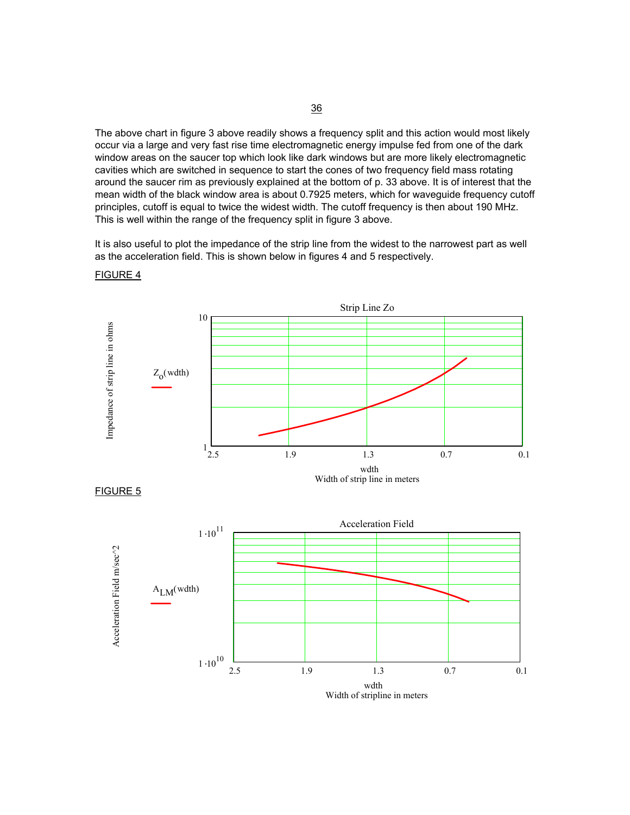The above chart in figure 3 above readily shows a frequency split and this action would most likely occur via a large and very fast rise time electromagnetic energy impulse fed from one of the dark window areas on the saucer top which look like dark windows but are more likely electromagnetic cavities which are switched in sequence to start the cones of two frequency field mass rotating around the saucer rim as previously explained at the bottom of p. 33 above. It is of interest that the mean width of the black window area is about 0.7925 meters, which for waveguide frequency cutoff principles, cutoff is equal to twice the widest width. The cutoff frequency is then about 190 MHz. This is well within the range of the frequency split in figure 3 above.

It is also useful to plot the impedance of the strip line from the widest to the narrowest part as well as the acceleration field. This is shown below in figures 4 and 5 respectively.



FIGURE 4





36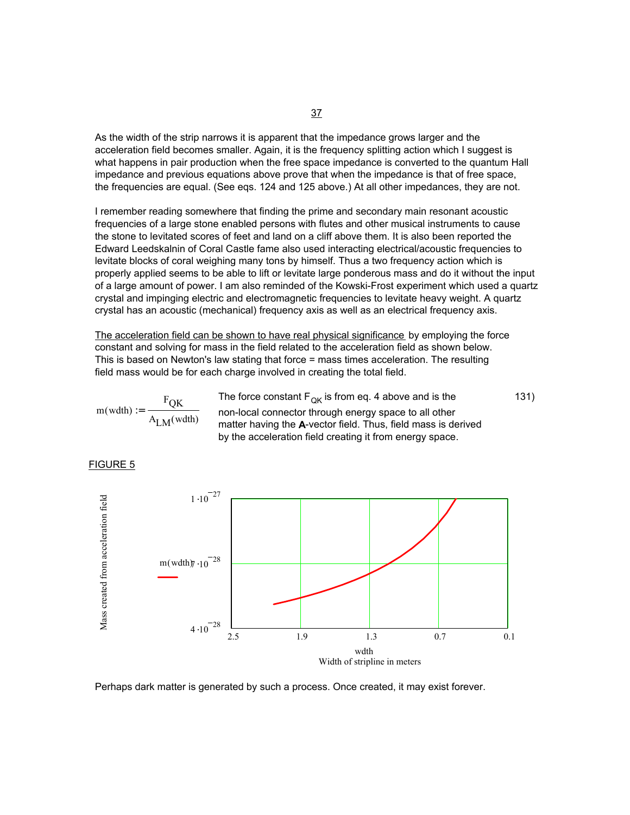As the width of the strip narrows it is apparent that the impedance grows larger and the acceleration field becomes smaller. Again, it is the frequency splitting action which I suggest is what happens in pair production when the free space impedance is converted to the quantum Hall impedance and previous equations above prove that when the impedance is that of free space, the frequencies are equal. (See eqs. 124 and 125 above.) At all other impedances, they are not.

I remember reading somewhere that finding the prime and secondary main resonant acoustic frequencies of a large stone enabled persons with flutes and other musical instruments to cause the stone to levitated scores of feet and land on a cliff above them. It is also been reported the Edward Leedskalnin of Coral Castle fame also used interacting electrical/acoustic frequencies to levitate blocks of coral weighing many tons by himself. Thus a two frequency action which is properly applied seems to be able to lift or levitate large ponderous mass and do it without the input of a large amount of power. I am also reminded of the Kowski-Frost experiment which used a quartz crystal and impinging electric and electromagnetic frequencies to levitate heavy weight. A quartz crystal has an acoustic (mechanical) frequency axis as well as an electrical frequency axis.

The acceleration field can be shown to have real physical significance by employing the force constant and solving for mass in the field related to the acceleration field as shown below. This is based on Newton's law stating that force = mass times acceleration. The resulting field mass would be for each charge involved in creating the total field.

$$
m(wdth) := \frac{F_{QK}}{A_{LM}(wdth)}
$$

The force constant  $F_{OK}$  is from eq. 4 above and is the non-local connector through energy space to all other matter having the **A**-vector field. Thus, field mass is derived by the acceleration field creating it from energy space. 131)



$$
\frac{1 \cdot 10^{-27}}{2 \cdot 10^{-28}}
$$
\n
$$
\frac{m(wdth)\pi \cdot 10^{-28}}{4 \cdot 10^{-28}}
$$
\n
$$
4 \cdot 10^{-28}
$$
\n
$$
4 \cdot 10^{-28}
$$
\n
$$
2.5
$$
\n1.9  
\n1.3  
\n0.7  
\n1.1  
\n1.3  
\n0.7  
\n0.1  
\n1.2  
\n1.3  
\n0.7  
\n0.1  
\n1.3  
\n1.4  
\n1.5  
\n1.6  
\n1.7  
\n1.9  
\n1.10  
\n1.11  
\n1.12  
\n1.13  
\n1.20  
\n1.3  
\n1.4  
\n1.4  
\n1.5  
\n1.6  
\n1.6  
\n1.7  
\n1.8  
\n1.9  
\n1.9  
\n1.10  
\n1.11  
\n1.12  
\n1.13  
\n1.14  
\n1.15  
\n1.16  
\n1.17  
\n1.18  
\n1.19  
\n1.10  
\n1.10  
\n1.10  
\n1.11  
\n1.12  
\n1.13  
\n1.14  
\n1.15  
\n1.16  
\n1.17  
\n1.19  
\n1.10  
\n1.10  
\n1.10  
\n1.10  
\n1.11  
\n1.12  
\n1.13  
\n1.14  
\n1.16  
\n1.16  
\n1.17  
\n1.19  
\n1.10  
\n1.10  
\n1.10  
\n1.10  
\n1.11  
\n1.10  
\n1.11  
\n1.12  
\n1.13  
\n1.14  
\n1.15  
\n1.16  
\n1.17  
\n1.19  
\n1.10  
\n1.10  
\n1.10  
\n1.10  
\n1.10  
\n1.10  
\n1.10  
\n1.10  
\n1.10  
\n1.10  
\n1.10  
\n1.10  
\n1.10  
\n1.10  
\n1.10  
\n1.10  
\n1.10  
\n

Perhaps dark matter is generated by such a process. Once created, it may exist forever.

FIGURE 5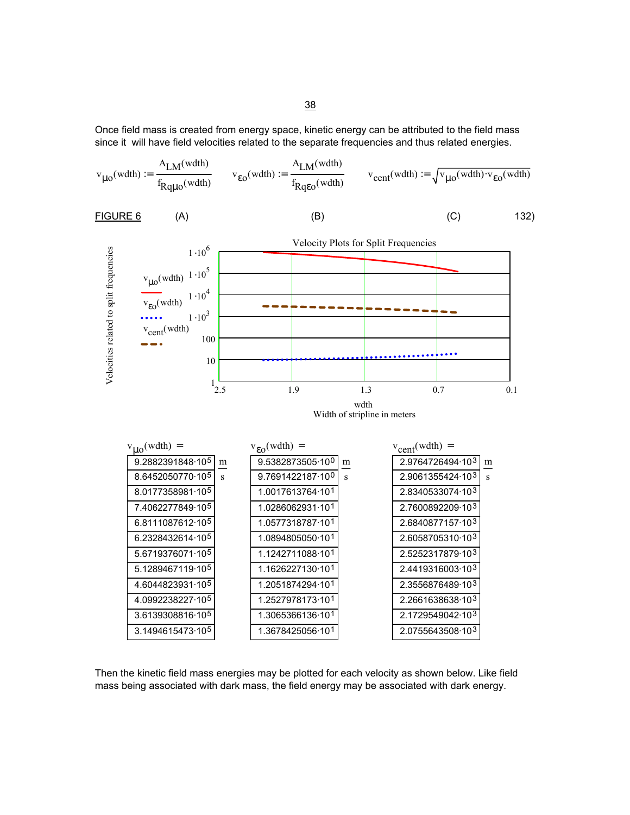Once field mass is created from energy space, kinetic energy can be attributed to the field mass since it will have field velocities related to the separate frequencies and thus related energies.

$$
v_{\mu 0}(wdth) := \frac{A_{LM}(wdth)}{f_{Rq\mu 0}(wdth)} \qquad v_{\epsilon 0}(wdth) := \frac{A_{LM}(wdth)}{f_{Rq\epsilon 0}(wdth)} \qquad v_{cent}(wdth) := \sqrt{v_{\mu 0}(wdth) \cdot v_{\epsilon 0}(wdth)}
$$

| $FIGURE 6$ | (A) | (B) | (C) | 132) |
|------------|-----|-----|-----|------|
|------------|-----|-----|-----|------|



Then the kinetic field mass energies may be plotted for each velocity as shown below. Like field mass being associated with dark mass, the field energy may be associated with dark energy.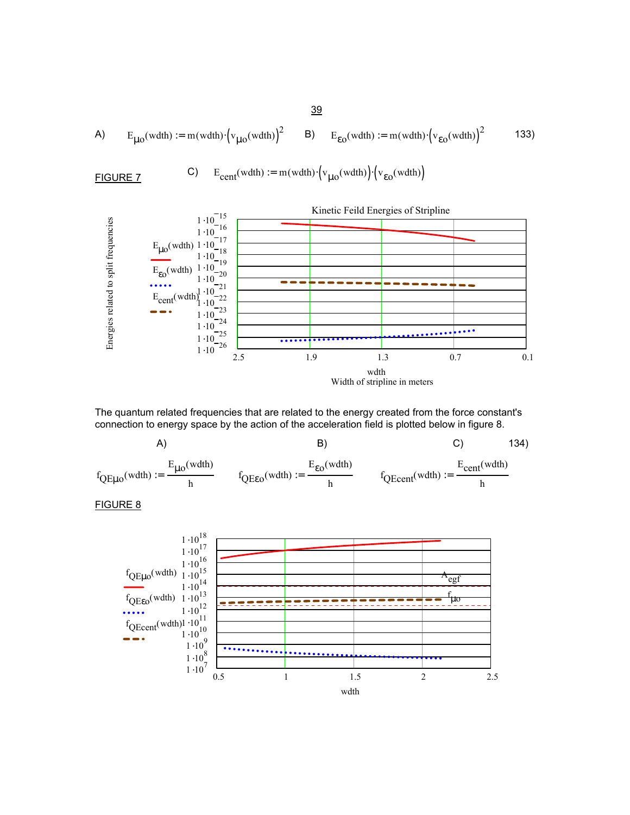A) 
$$
E_{\mu o}(\text{wdth}) := m(\text{wdth}) \cdot (\text{v}_{\mu o}(\text{wdth}))^2
$$
 B)  $E_{\epsilon o}(\text{wdth}) := m(\text{wdth}) \cdot (\text{v}_{\epsilon o}(\text{wdth}))^2$  133)

**FIGURE 7** C) 
$$
E_{cent}(\text{width}) := m(\text{width}) \cdot \left(v_{\mu o}(\text{width})\right) \cdot \left(v_{\varepsilon o}(\text{width})\right)
$$



The quantum related frequencies that are related to the energy created from the force constant's connection to energy space by the action of the acceleration field is plotted below in figure 8.



# FIGURE 8



39